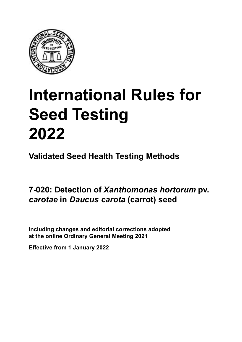

# **International Rules for Seed Testing von Saatgut 2022 2022 Semences 2022 International Rules for Seed Testing 2022**

**Métodos Validados para Análisis de Sanidad de Semillas Validate Méthodes Validées pour Analyse Sanitaire des Semences Validated Seed Health Testing Methods**

7-020: Detection of *Xanthomonas hortorum* pv. *carotae* in *Daucus carota* (carrot) seed

Including changes and editorial corrections adopted at the online Ordinary General Meeting 2021

**Effective from 1 January 2022**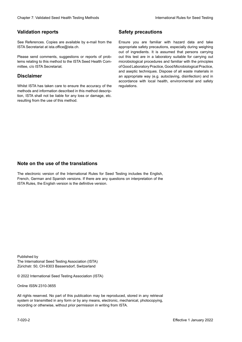### **Validation reports**

See References. Copies are available by e-mail from the<br>ISTA Secretariat at ista.office@ista.ch. ISTA Secretariat at ista.office@ista.ch.

lems relating to this method to the ISTA Seed Health Com-<br>mittee, c/o ISTA Secretariat. mittee, c/o ISTA Secretariat.<br>i Please send comments, suggestions or reports of prob-

### **Limitation de responsabilité Disclaimer**

Whilst ISTA has taken care to ensure the accuracy of the<br>methods and information described in this method description, ISTA shall not be liable for any loss or damage, etc.<br>resulting from the use of this method.<br>. resulting from the use of this method. Whilst ISTA has taken care to ensure the accuracy of the methods and information described in this method descrip-<br>tion, ISTA shall not be liable for any loss or damage, etc. tion, ISTA shall not be liable for any loss or damage, etc.<br>resulting from the use of this method.

### **Medidas de seguridad Sicherheitsmaßnahmen Sécurité Safety precautions**

Ensure you are familiar with hazard data and take Ensure you are familiar with hazard data and take<br>appropriate safety precautions, especially during weighing out of ingredients. It is assumed that persons carrying out this test are in a laboratory suitable for carrying out microbiological procedures and familiar with the principles of Good Laboratory Practice, Good Microbiological Practice, and aseptic techniques. Dispose of all waste materials in an appropriate way (e.g. autoclaving, disinfection) and in accordance with local health, environmental and safety regulations. Glade 7: Validated Deed Health Testing holesdos<br>
Gallet Corresponds<br>
Validation responds we are stated as the company of the system of the New York of the Saat guide of the New York of the New York of the New York of the N microbiological procedures and familiar with the principles<br>of Good Laboratory Practice, Good Microbiological Practice,<br>and aseptic techniques. Dispose of all waste materials in<br>an appropriate way (e.g. autoclaving, disinf fallstoffe sind auf geeignete Weise und entsprechend der vor Ort über der vor Ort über und Umwelt- und Umwelt-<br>Eine und Umwelt-Effective Counter of Nicholas Devel Teach Teach Teach Devel Safety precedutions<br>
Validation reports<br>
Safety precedution reports and the symbol state of the sementic of the symbol state of the based delay and share<br>
Propose of Good Laboratory Practice, Good Microbiological Practice,<br>and aseptic techniques. Dispose of all waste materials in<br>an appropriate way (e.g. autoclaving, disinfection) and in Validation reports<br>
Since The Texture 1988 and the system of the Since Theorem and the Since Theorem and the system of the Since The Since The Since The Since The Since The Since The Since The Since The Since The Since The Ensure you are familiar with hazard data and take<br>appropriate safety precautions, especially during weighing<br>out of ingredients. It is assumed that persons carrying<br>out this test are in a laboratory suitable for carrying o

### **Nota sobre el uso de traducciones Anmerkung zur Benutzung der Übersetzungen Note on the use of the translations**

The electronic version of the International Rules for Seed Testing includes the English, French, German and Spanish versions. If there are any questions on interpretation of the ISTA Rules, the English version is the definitive version. The electronic version of the International Rules for Seed Testing includes the English,<br>French, German and Spanish versions. If there are any questions on interpretation of the<br>ISTA Rules, the English version is the defin The electronic version of the International Rules for Seed Testing includes the English,<br>French, German and Spanish versions. If there are any questions on interpretation of the

Published by **Extending Association (ISTA)** The International Seed Testing Association (ISTA) Zürichstr. 50, CH-8303 Bassersdorf, Switzerland

© 2022 International Seed Testing Association (ISTA)

Alle Rechte vorbehalten. Kein Teil dieses Werkes darf in irgendwelcher Form oder durch Online ISSN 2310-3655

All rights reserved. No part of this publication may be reproduced, stored in any retrieval All rights reserved. No part of this publication may be reproduced, stored in any retrieval<br>system or transmitted in any form or by any means, electronic, mechanical, photocopying,<br>recording or otherwise, without prior per recording or otherwise, without prior permis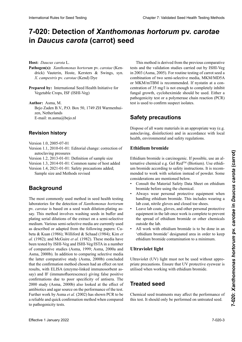# 7-020: Detection of *Xanthomonas hortorum* pv. *carotae* in *Daucus carota* (carrot) seed

**Hospedante:** *Daucus carota* L. **Wirtspflanze:** *Daucus carota* L. **Hôte :** *Daucus carota* L. **Host:** *Daucus carota* L.

- **Pathogen(s):** *Xanthomonas hortorum* pv. *carotae* (Kendrick) Vauterin Hoste Kersters & Swings syn drick) Vauterin, Hoste, Kersters & Swings, syn. *X*. *campestris* pv. *carotae* (Kend) Dye *campestris* pv. *carotae* (Kend) Dye *X*. *campestris* pv. *carotae* (Kend) Dye
- Prepared by: International Seed Health Initiative for Vegetable Crops, ISF (ISHI-Veg) Vegetable Crops, ISF (ISHI-Veg)

**Autor:** Asma, M. **Autoren:** Asma, M. **Auteurs :** Asma, M. **Author:** Asma, M. mor Prisma, m.<br>Bejo Zaden B.V., P.O. Box 50, 1749 ZH Warmenhuizen, Holanda Niederlande Pays Bas zen, Netherlands zen, ivemerianus<br>E-mail: m.asma@bejo.nl

#### **Historial de revisiones Revisionsstand Historique de la révision Revision history**

- Versión 1.0, 2005-07-01 Version 1.0, 2005-07-01
- Version 1.1, 2010-01-01: Editorial change: correction of autoclaving pressures
- Version 1.2, 2013-01-01: Definition of sample size
- Version 1.3, 2014-01-01: Common name of host added
- Version 1.4, 2021-01-01: Safety precautions added;

Sample size and Methods revised

#### **Antecedentes Hintergrund Background Historique**

laboratories for the detection of Xanthomonas hortorum pv. carotae is based on a seed wash dilution-plating assay. This method involves washing seeds in buffer and plating serial dilutions of the extract on a semi-selective .<br>medium Various semi-selective media are currently used as described or adapted from the following papers: Cubeta & Kuan (1986); Williford & Schaad (1984); Kim et al. (1982); and McGuire *et al.* (1982). These media have been tested by ISHI-Veg and ISHI-Veg/ISTA in a number of comparative studies (Asma, 1999; Asma, 2000a and Asma, 2000b). In addition to comparing selective media  $\epsilon$ Ishia,  $20000$ , in addition to comparing screenve meand that the confirmation method chosen had an effect on test ración de medios se la último estudio comparativo en último estudio comparativos, el último estudio comparativos, el último estudio comparativos, el último estudio comparativos, el último estudio comparativos, el último e  $\sum_{i=1}^{\infty}$   $\sum_{i=1}^{\infty}$  concluded the confirmation del métodos del métodos de métodos de métodos de métodos de métodos de métodos de métodos de métodos de métodos de métodos de métodos de métodos de métodos de métod say) and IF (immunofluorescence) giving false positive say) and ir (infinumondorescence) giving raise positive<br>confirmations due to poor specificity of antisera. The 2000 study (Asma, 2000b) also looked at the effect of antibiotics and agar source on the performance of the test. antibiotics and agar source on the performance of the test.<br>Further work by Asma *et al*. (2002) has shown PCR to be Further work by Asma *et al.* (2002) has shown PCR to be<br>a reliable and quick confirmation method when compared to pathogenicity tests. The most commonly used method in seed health testing Asma, 2000b). In addition to comparing selective media<br>the latter comparative study (Asma, 2000b) concluded 2000a, 2000b). Zusätzlich zum Vergleich von Selektiv- $\sum_{i=1}^{\infty}$  with ELISA (CIZYING-HIKEG INIHIGIOSOFOCHT as-Untersuchungser<br>
Mathogenis): *Xombonomum* processes & Swings, syn. taxis and the validation studies centred with the Society Communication<br>
A compared process Newton (1006) Newton (1006) (Newton 2005) Processions (see al. plating serial dilutions of the extract on a semi-selective<br>medium. Various semi-selective média are currently used<br>as described or adanted from the following papers: Cu- $\frac{1}{2}$  complement de la complement de la complement de la complementation de la complementation de la complementation de la complementation de la complementation de la complementation de la complementation de la comple results, with ELISA (enzyme-linked immunosorbent as-Health (*Due terminal supplémental supplémental supplémental supplémentaire réalisé par Asma Confirme de confirme de confirme de confirme de confirme terminal supplémental of the confirmed of the confirmed of the confirmed* International Rule International Rule Testing Chapter 11. 2010. **Caroline Chapter 2: Caroline Chapter 2: Caroline Chapter 2: Validated Seed ACCIDITY Caroline Chapter 2: Caroline Chapter 2: Validated Seed Testing Chapter 2** medium. Various semi-selective media are currently used

This method is derived from the previous comparative tests and the validation studies carried out by ISHI-Veg in 2003 (Asma, 2005). For routine testing of carrot seed a combination of two semi-selective media, MKM/MD5A or MKM/mTBM is recommended. If nystatin at a con- $\frac{1}{2}$  centration of 35 mg/l is not enough to completely inhibit ennanten er ee mgr is net eneagn te compreter inner. rungur grown, cycloneximide should be used. Ether a pairies seminación de 2 metros seminación de 2 metros. test is used to confirm suspect isolates. centration of 35 mg/l is not enough to completely inhibit<br>fungal growth, cycloheximide should be used. Either a<br>pathogenicity test or a polymerase chain reaction (PCR)

#### Sofaty processione **Dalcty procedulons ximid verweder ein Pathogenitätstest oder ein Pathogenitätstest oder ein PCR-Test (= polymerase chain reaction**<br>Pouvoir pathogène ou une PCR (= polymerase chain reac-**Safety precautions**

Dispose of all waste materials in an appropriate way (e.g. health, environmental and safety regulations. autoclaving, disinfection) and in accordance with local

## **Ethidium bromide**

**Ethidium bromide**<br>Ethidium bromide is carcinogenic. If possible, use an alternative chemical e.g. Gel Red™ (Biotium). Use ethidimended to work with solution instead of powder. Some um bromide according to safety instructions. It is recomconsiderations are mentioned below.

- Consult the Material Safety Data Sheet on ethidium<br>bromide before using the chemical. bromide before using the chemical.
- Always wear personal protective equipment when • Always wear personal protective equipment when handling ethidium bromide. This includes wearing a lab coat, nitrile gloves and closed toe shoes.
- Leave lab coats, gloves, and other personal protective equipment in the lab once work is complete to prevent the spread of ethidium bromide or other chemicals outside the lab.
- All work with ethidium bromide is to be done in an 'ethidium bromide' designated area in order to keep ethidium bromide contamination to a minimum van Beendigung der Arbeit Kittel, Handschuhe und Arbeit Kittel, Handschuhe und Arbeit Kittel, Handschuhe und Arbeit Kittel, Handschuhe und Arbeit Kittel, Handschuhe und Arbeit Kittel, Handschuhe und Arbeit Kittel, Handschu ethidium bromide contamination to a minimum.

#### Ultraviolet light **andere personalistus**  $\frac{m}{\sqrt{2}}$  $\mathbf{u}$ umbreitung von Ethiopische Ausbreitung von Ethiopische anderen anderen anderen anderen anderen anderen anderen anderen anderen anderen anderen anderen anderen anderen anderen anderen anderen anderen anderen andere autres équipements de protection individuelle dans le laboratoire une fois les travaux terminés afin d'éthidiu<br>d'éviter la production du bromure d'éthique d'éthique d'éthique d'éthique d'éthique d'éthique d'éthique d'autr

Ultraviolet (UV) light must not be used without appro $d^2$  aviolet ( $\sigma$ v) light must not be used while appro- $\frac{1}{2}$  manufación contaminación contaminación contaminación contaminación con bromuro de mantenas de mantenas de mantenas de mantenas de mantenas de mantenas de mantenas de mantenas de mantenas de mantenas de mantenas utilised when working with ethidium bromide.<br> priate precautions. Ensure that UV protective eyewear is<br>utilised when working with ethidium bromide.

#### **Lucated** esse **Ultraviolettes Licht Lumière ultraviolette Treated seed**

La luz ultravioleta (UV) no debe ser usada sin las precau-Chemical seed treatments may affect the performance of this test. It should only be performed on untreated seed.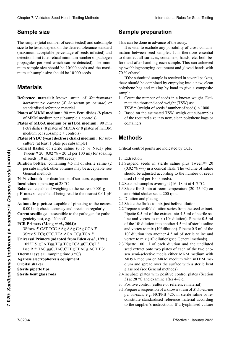## **Sample size** lorsque vous travailent utilisées lorsque vous travailent une signification de la proposition de

The sample (total number of seeds tested) and subsample size to be tested depend on the desired tolerance standard (maximum acceptable percentage of seeds infested) and propagates per seed which can be detected). The film  $\mathbf{F}$ Clearly a New York is a considered the state of the state of the state of the state of the state of the state of the state of the state of the state of the state of the state of the state of the state of the state of the propagules per seed which can be detected). The minimum subsample size should be 10000 seeds. Cheape 7 Validated Seat Health Formi gradient for the Theoretical River for the Temple SEA Cheap Temple SEA Cheap Temple and the seat of the seat of the seat of the seat of the seat of the seat of the seat of the seat of detection limit (theoretical minimum number of pathogen

### tolerancia estándar deseada (porcentaje máximo aceptable **Probengröße Taille de l'échantillon Materials**  de semillas infestadas) y del límite de detección (número

- Reference material: known strain of *Xanthomonas*  $\frac{d}{dx}$ ser 10 000 semillas y el tamaño máximo de la sub-muestra prividence materials  $\lim_{n \to \infty}$  same of  $\lim_{n \to \infty}$  and  $\lim_{n \to \infty}$  and  $\lim_{n \to \infty}$  $\frac{1}{2}$  der der  $\frac{1}{2}$  after  $\frac{1}{2}$  after  $\frac{1}{2}$  and  $\frac{1}{2}$  are  $\frac{1}{2}$  and  $\frac{1}{2}$  are  $\frac{1}{2}$  are  $\frac{1}{2}$  and  $\frac{1}{2}$  are  $\frac{1}{2}$  and  $\frac{1}{2}$  and  $\frac{1}{2}$  are  $\frac{1}{2}$  and  $\frac{1}{2}$  and  $\frac$ hortorum pv. carotae (X. hortorum pv. carotae) or<br>standardised reference material standardised reference material
- $\theta$  statuaruised ferefelier inateitat Plates of MKM medium: 90 mm Petri dishes (8 plates **pro 1974**) Sometime nach die nach die nach die nach die Min- $\sum_{n=1}^{\infty}$ tion (de propagulas de l'agent par semence pouvant de l'agent par semence pouvant de l'agent par semence pouvant etre détectées). La taille détectée de la taille détectée de la taille détectée de la taille de la taille de
- **Plates of MD5A** medium per subsample + controls) Plates of MD5A medium or mTBM medium: 90 mm Petri dishes (8 plates of MD5A or 8 plates of mTBM
- *Plates of YDC (yeast dextrose chalk) medium:* **for sub**culture (at least 1 plate per subsample)
- **Conical flasks:** of sterile saline (0.85 % NaCl) plus Tween™ 20 (0.02 % – 20 µl per 100 ml) for soaking of seeds (10 ml per 1000 seeds)
- **Dilution bottles:** containing 4.5 ml of sterile saline (2) **Dilution bottles:** containing 4.5 ml of sterile saline (2 per subsample); other volumes may be acceptable, see **General methods**
- **70 % ethanol:** for disinfection of surfaces, equipment **Fincubator:** operating at 28 °C Incubator: operating at 28 °C<br>Balance: capable of weighing to the nearest 0.001 g
- 
- pH meter: capable of being read to the nearest 0.01 pH  $\text{unit}$ runit (mindestens eine Platte je Teilprobe) eine Platte je Teilprobe) eine Platte je Teilprobe) eine Platte je **b b Bo Box (years) : extra defined : extra defined : extra defined : extra** defined **: extra** defined **: extra** defined **: extra defined : extra defined : extra defined : extra defi** unit
- **Automatic pipettes:** capable of pipetting to the nearest<br>0.001 ml: check accuracy and precision regularly 0.001 ml; check accuracy and precision regularly
- Carrot seedlings: susceptible to the pathogen for pathogenicity test, e.g. 'Napoli'
- **PCR Primers (Meng** *et al.***, 2004):**

3Sforw 5' CAT.TCC.AAg.AAg.CAg.CCA 3' 3Srev 5' TCg.CTC.TTA.ACA.CCg.TCA 3'<br>**Universal Primers (adapted from Eden** *et al.* **1991).** 

Universal Primers (adapted from Eden et al., 1991): **PERCEPTAS PRIMERS (MAPPER PERCEPTAS DE SINGLES).**<br>1052F 5' gCA.Tgg.TTg.TCg.TCA.gCT.CgT 3' 18521 5 genauge: regisión generalisment y precisión examplement y precisión de R 5' TAC.ggC.TAC.CTT.gTT.ACg.ACT.T 3'

**Thermal cycler:** ramping time 3 °C/s

**Place man Cyclet:** sumplies along al para la para la para la para la para la para la para la para la para la para la para la para la para la para la para la para la para la para la para la para la para la para la para la arose electrophoresis equipment<br>Utah **Automatic Pipetter:** Tamping university keit und Präzision sind regelmäßig zu über<br>ind regelmäßig zu überprüfenden auf der Präsision sind regelmäßig zu überprüfenden auf der Präsision sind rege **Balance Balance Balance :** capture de peser à 0,000 grade de peser à 0,000 grade de peser à 0,000 grade de peser à 0,000 grade de peser à 0,000 grade de peser à 0,000 grade de peser à 0,000 grade de peser à 0,000 gr **Agarose electrophoresis equipment<br>Orbital akaker** 

**Orbital shaker**

**Primers para PCR (Meng** *et al***., 2004): Möhrenjungpflanzen:**  anfällig für den Krankheitserre-**Pipettes automatiques :** capables de pipetter à 0,001 ml. **Sterile pipette tips**

 $\frac{3}{5}$  are property the  $\frac{3}{5}$ THE DEIT grass rous r in pipette tips **PCR Primer (Meng** *et al.***, 2004):**  $\sum_{i=1}^{n}$ **Sterile bent glass rods** 

# **Puntas de pipetas estériles Agarose-Gelelektrophorese-Ausrüstung Amorces universelles (adaptée de Eden** *et al.***, 1991) : Sample preparation**

This can be done in advance of the assay.

ination between seed samples. It is therefore essential fore and after handling each sample. This can achieved by swabbing/spraying equipment and gloved hands with contaminación cruzada entre las muestras de semilla. Por Dies kann vor der Untersuchung stattfinden. 70 % ethanol. It is vital to exclude any possibility of cross-contamto disinfect all surfaces, containers, hands, etc. both be-

If the submitted sample is received in several packets, the submitted sample is received in several packets,<br>these should be combined by emptying into a new, clean cada musical musical musical musical musical musical musical musical musical musical musical musical musical m polythene bag and mixing by hand to give a composite<br>sample per analyses with the faith of the sample.

1. Count the number of seeds in a known weight. Estimate the housand-seed weight (TSW) as:<br>TSW = (wight of seeds) winning of seeds) × 1000

 $TSW = (weight of seeds / number of seeds) \times 1000$ para obtenuesta. Toward weight of secus / humoc  $W = W \times W$ en die Untersuchungsproben Teilproben Teilproben Teilproben Teilproben Teilproben Teilproben Teilproben Teilproben Teilproben Teilproben Teilproben Teilproben Teilproben Teilproben Teilproben Teilproben Teilproben  $p_{\text{post}}$  avant et après manipulation de chaque de chaque de chaque de chaque de chaque de chaque de chaque de chaque de chaque de chaque de chaque de chaque de chaque de chaque de chaque de chaque de chaque de chaque de

2. Based on the estimated 15  $\alpha$ , weight our subsamples of the required size into new, clean polythene bags or  $\mathbf{r}$  containers. z. Dascu on die estimated 15 w, weigh out subsamples containers. 2. Based on the estimated TSW, weigh out subsamples

#### $\mathbf{t}$  requerido en bolsas nuevas y limpias  $\mathbf{t}$ **Methods** 1. Die Anzahl der Samen bekannten Gesamtgewicht bekannten Gesamtgewicht bestimmt. Bereichnung des Tausendkorng<br>Bereichnung des Tausendkorngewichtes des Tausendkorngewichtes der Samen des Tausendkorngewichtes der Samen der Si l'échantillon soumis est reçu en plusieurs par plusieurs par les mélangés en vidant dans un nouveau sac po<br>L'échant dans un nouveau sac polyéthylène propre et en mélangeant à la main pour et en mélangeant à la main po

TKG = (Gewicht der Samen/Anzahl der Samen) **×** tical obtenir un échantillon composite. Critical control points are indicated by CCP.

- **Métodos** 1. Extraction
- 1.1 Suspend seeds in sterile saline plus Tween<sup>™</sup> 20 should be adjusted according to the number of seeds used (10 ml per 1000 seeds).  $(0.02 \% \text{ v/v})$  in a conical flask. The volume of saline
- 1.2 Soak subsamples overnight (16–18 h) at 4–7 °C.
- 1.3 Shake for 5 min at room temperature (20–25 °C) on an orbital shaker set at 200 rpm.
- 2. Dilution and plating
- 2.1 Shake the flasks to mix just before dilution.
- 2.2 Prepare a tenfold dilution series from the seed extract. Pipette 0.5 ml of the extract into 4.5 ml of sterile saline and vortex to mix  $(10<sup>1</sup>$  dilution). Pipette 0.5 ml of the  $10<sup>1</sup>$  dilution into another 4.5 ml of sterile saline and vortex to mix  $(10^2 \text{ dilution})$ . Pipette 0.5 ml of the<br>10<sup>2</sup> dilution into another 4.5 ml of sterile saline and  $10<sup>2</sup>$  dilution into another 4.5 ml of sterile saline and vortex to mix  $(10^3 \text{ dilution})(\text{see General methods}).$ Frequential of the three states of the specific specific term is the specific of the specific of the specific section of the specific section of the specific section of the specific section of the specific section of the
	- 2.3 Pipette  $100 \mu l$  of each dilution and the undiluted 2. Seed extract onto two plates of each of the two choseed extract onto two piaces of each of the two end de la dilución sen en en otros 4,5 ml der Herstellung der Verdünnungen zu erhalten.<br>MD5A medium or MKM medium with mTBM meestérit y a contrat mezclar (dilución 102). The contrat para mezclar (dilución 102) estérit dialectiva no contrat de la contrata de la contrata de la contrata de la contrata de la contrata de la contrata de la contrata de  $\frac{1}{2}$  dium and spiela over the surface with a sterile bent  $\frac{1}{2}$  music de solución salina estérit y agitar con voltexe de seté estéril y agosto vortexe de seté estéril y agosto vortexe de seté estéril y agricultural y agricultural y agricultural y agricultural y agricultural giass fou (see General methods).  $2.1$   $\frac{1}{2}$  $2\frac{1}{2}$  second avant mélanger in the surface with a sterile bent glass rod (see General methods).
	- meubaie plates with positive control plates (section 3) at 28 °C and examine after 4–8 d. 2.4 Incubate plates with positive control plates (Section -Verdün-
	- 3. Positive control (culture or reference material)
	- 3. Positive control (culture or reference material)<br>3.1 Prepare a suspension of a known strain of X. hortorum pv. *carotae*, e.g. NCPPB 425, in sterile saline or repv. *carotae*, e.g. NCPPB 425, in sterile saline or re-<br>constitute standardised reference material according constitute standardised reference material according<br>to the supplier's instructions. If a lyophilised culture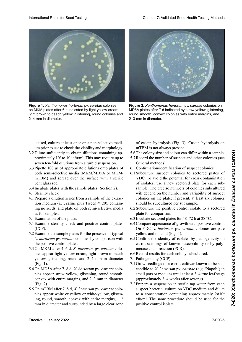

**Figure 1.** Xanthomonas hortorum pv. carotae colonies on MKM plates after 6 d indicated by light yellow-cream, light brown to peach yellow, glistening, round colonies and<br>2–4 mm in diameter. 2–4 mm in diameter. **Einem Durchmesser von 2–4 mm in** diameter.



**Figure 2. Xanthomonas hortorum pv. carotae colonies on** MD5A plates after 7 d indicated by straw yellow, glistening, round smooth, convex colonies with entire margins, and 2–3 mm in diameter.

con una varilla de vidrio doblada estéril (ver Métodos is used, cu um prior to use to check the viability and morphology. Medium oder MKM Medium mit mTBM Medium) position used, culture at least once on a non-selective medition saline stérile et vortexer pour mélanger (dilution is used, culture at least once on a non-selective medi-

- um prior to use to check the viability and morphology.<br>3.2 Dilute sufficiently to obtain dilutions containing approximately  $10^2$  to  $10^4$  cfu/ml. This may require up to seven ten-fold dilutions from a turbid suspension.
- 3.3 Pipette 100 µl of appropriate dilutions onto plates of both semi-selective media (MKM/MD5A or MKM/ mTBM) and spread over the surface with a sterile bent glass rod. bent glass rod.
- 3.4 Incubate plates with the sample plates (Section 2).<br>4. Sterility check
- 4. Sterility check
- 4.1 Prepare a dilution series from a sample of the extrac-Prepare a dilution series from a sample of the extraction medium (i.e., saline plus Tween<sup>TM</sup> 20), containing no seeds, and plate on both semi-selective media<br>as for samples. as for samples.
- 5. Examination of the plates
- 5. Examination of the plates<br>5.1 Examine sterility check and positive control plates (MKM/MD5A o MKM/mTBM) y distribuir sobre la 10-fach-Verdünnungsreihen erfordern. nant environ 102 (CCP). (CCP).<br>5.2 Examine the sample plates for the presence of typical à 104
- *X. hortorum* pv. *carotae* colonies by comparison with the positive control plates.
- 5.3 On MKM after 4–6 d, *X. hortorum* pv. *carotae* colonies appear light yellow-cream, light brown to peach tra de extractor de extractor de extractor de extractor de extractor de extractor de extractor de extractor de  $T_{\text{Cov}}$  3) since the semi-mediate  $T_{\text{Cov}}$  measurements of  $T_{\text{Cov}}$  and  $T_{\text{Cov}}$ mes appear ngm yenew eream,  $\frac{1}{\sqrt{16}}$  (Fig. 1) were controller de controller stérile. yellow, glistening, round and  $2-4$  mm in diameter  $(E_{12}, 1)$ . (Fig. 1).
- 5.4 On MD5A after 7–8 d, *X. hortorum* pv. *carotae* colo- $5.5$  Evaluación de la segunda de las placas por  $11$  $\frac{1}{2}$  appear straw y chow, gristening, round sincour, convex with entire margins, and  $2-3$  mm in diameter  $(\text{Fig. 2}).$  $\sum_{i=1}^{n}$   $\sum_{i=1}^{n}$   $\sum_{i=1}^{n}$   $\sum_{i=1}^{n}$   $\sum_{i=1}^{n}$   $\sum_{i=1}^{n}$   $\sum_{i=1}^{n}$   $\sum_{i=1}^{n}$   $\sum_{i=1}^{n}$   $\sum_{i=1}^{n}$   $\sum_{i=1}^{n}$ mes appear straw yenow, gilstening, round sinoot  $(1)$  Untersuchung der Sterilitätskontrolle und Bestimmung der Sterilitätskontrolle und Bestimmung der Sterilitätskontrolle und Bestimmung der Sterlitätskontrolle und Bestimmung der Sterlitätskontrolle und Bestimmung der  $\frac{1}{2}$ . The distribution of  $\frac{1}{2}$  and  $\frac{1}{2}$  is a so-contract of the la so-contract of the la so-contract of the so-contract of the so-contract of the so-contract of the so-contract of the so-contract of the sonies appear straw yellow, glistening, round smooth,  $\Gamma$ lig. 2). (Fig. 2).
- presencia de la *X. hortorum* pv. *caroude* colonies appear white or yellow or white-yellow, glistening, round, smooth, convex with entire margins, 1–2 mm in diameter and surrounded by a large clear zone On introlle after  $7-8$  d,  $\Lambda$ . 5.5 On mTBM after 7–8 d, *X. hortorum* pv. *carotae* colo-

claro crema, marrón claro a amarillo melocotón, briof casem nydrolysis (Fig. 3). Casem nydrolysis mTBM is not always present. hellgelbe bis cremefarbene, hellbraune bis pfirsichgelbe, glände Kolonien von *Runde Kolonien von de Casein nydrolysis* on 5.2 Examiner les boîtes d'échantillons pour la présence of casein hydrolysis (Fig. 3). Casein hydrolysis on

- 5.6 The colony size and colour can differ within a sample.
- 5.7 Record the number of suspect and other colonies (see<br>General methods). General methods). 5.7 Record the number of suspect and other colonies (see<br>General methods).<br>6. Confirmation/identification of suspect colonies
- 
- 6. Confirmation/identification of suspect colonies<br>6.1 Subculture suspect colonies to sectored plates of YDC. To avoid the potential for cross-contamination of isolates, use a new sectored plate for each sub-YDC. To avoid the potential for cross-contamination<br>of isolates, use a new sectored plate for each sub-<br>sample. The precise numbers of colonies subcultured will depend on the number and variability of suspect will depend on the number and variability of suspect<br>colonies on the plate: if present, at least six colonies should be subcultured per subsample. should be subcultured per subsample.<br>6.2 Subculture the positive control isolate to a sectored sample. The precise numbers of colonies subcultured will depend on the number and variability of suspect colonies on the plate: if present, at least six colonies
- plate for comparison. plate for comparison.<br>6.3 Incubate sectored plates for 48–72 h at 28 °C.
- 
- 6.4 Compare appearance of growth with positive control. On YDC X. hortorum pv. carotae colonies are pale  $y$ ellow and mucoid (Fig. 4).
- 6.5 Confirm the identity of isolates by pathogenicity on carrot seedlings of known susceptibility or by polymerase chain reaction (PCR).
- $R$  and  $R$  results for each colony subcultured sentaris sentar ser subcurstantin ser subcultural de benefit de la menos de la menos de la menos de la menos d  $\frac{1}{2}$   $\frac{1}{2}$   $\frac{1}{2}$   $\frac{1}{2}$   $\frac{1}{2}$   $\frac{1}{2}$   $\frac{1}{2}$   $\frac{1}{2}$   $\frac{1}{2}$   $\frac{1}{2}$   $\frac{1}{2}$   $\frac{1}{2}$   $\frac{1}{2}$   $\frac{1}{2}$   $\frac{1}{2}$   $\frac{1}{2}$   $\frac{1}{2}$   $\frac{1}{2}$   $\frac{1}{2}$   $\frac{1}{2}$   $\frac{1}{2}$   $\frac{1}{2}$  nationen der Islam verbing bestehten der Platter verbinden verbinden verbinden verbinden verbinden verbinden v 6.6 Record results for each colony subcultured.
- 7. Pathogenicity (CCP)
- 7. Pathogenicity (CCP)<br>7.1 Grow seedlings of a carrot cultivar known to be susceptible to X. hortorum pv. carotae (e.g. 'Napoli') in propriety to  $\lambda$ ; notice and py. can  $\frac{1}{6}$ .3 Incubar las places and the sector is placed as por  $\frac{1}{6}$ (approximately 3–4 weeks after sowing). small pots or modules until at least  $3-4$  true leaf stage
- 7.2 Prepare a suspension in sterile tap water from each suspect bacterial culture on YDC medium and dilute to a concentration containing approximately 2**×10**<sup>6</sup> cfu/ml. The same procedure should be used for the positive control isolate. positive control isolate.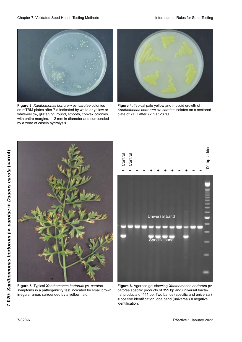

**Figure 3.** *Xanthomonas hortorum* pv. *carotae* colonies on mTBM plates after 7 d indicated by white or yellow or white-yellow, glistening, round, smooth, convex colonies with entire margins, 1–2 mm in diameter and surrounded<br>by a zone of casein hydrolysis. by a zone of casein hydrolysis.



**Figure 4.** Typical pale yellow and mucoid growth of Xanthomonas hortorum pv. *carotae* isolates on a sectored plate of YDC after 72 h at 28 °C.



**Figure 5.** Typical Xanthomonas hortorum pv. carotae symptoms in a pathogenicity test indicated by small brown irregular areas surrounded by a yellow halo.



Figure 6. Agarose gel showing Xanthomonas hortorum pv. carotae specific products of 355 bp and universal bacterial products of 441 bp. Two bands (specific and universal) = positive identification; one band (universal) = negative identification. **Eine Bande (universelle) = identification** négative.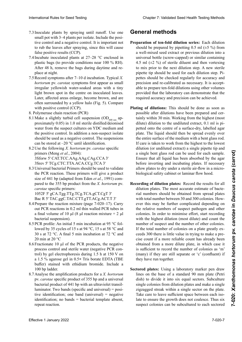- 7.3 Inoculate plants by spraying until runoff. Use one small pot with 3–4 plants per isolate. Include the positive control and a negative control. It is important not to rub the leaves after spraying, since this will cause false positive results (CCP).
- 7.4 Incubate inoculated plants at  $27-28$  °C enclosed in plastic bags (to provide conditions near 100 % RH). plastic bags (to provide conditions near 100 % RH). After 48 h, remove the bags during daytime and replace at night.
- 7.5 Record symptoms after  $7-10$  d incubation. Typical X.<br>hortorum pv. carotae symptoms first appear as small<br>irreqular vellowish water-soaked areas with a tiny *hortorum* pv. *carotae* symptoms first appear as small ex. 'Napoleon' petits contenue ou purplemant and the petits and content in the content of the content of the periodic state of the content of the content of the content of the content of the content of the content of the c **Elighthauer y servident water sourcedimients and available and any** Herstellung einer Bakteriensuspersion mit sterile on modulated reaves.<br>Later, affected areas enlarge, become brown, and are 2.3 Interior and the state of the state of the state value of the state value of the state value of the state value of the state value of the state value of the state value of the state value of the state value of the stat exter, anceted areas emarge, occome orown, and are<br>often surrounded by a yellow halo (Fig. 5). Compare often surrounded by a yellow halo (Fig. 5). Compare<br>with a saitive sentral (CCD) with positive control (CCP).
- with positive control (CCT).<br>8. Polymerase chain reaction (PCR)  $t_1$  tive  $t_2$  voltat vorbereitet werden.
- portante no fronte no fronte de rociamiento de rociamiento de rociamiento de rociamiento de rociamiento, y que wiake a sugnuy turble cen suspension  $\left(\frac{OD_{600 \text{ nm}}}{2}\right)$ proximately  $0.05$ ) in 1.0 ml sterile distilled/deionised water from the suspect cultures on YDC medium and the positive control. In addition a non-suspect isolate should be used as a negative control. The suspensions can be stored at –20 °C until identification.  $\frac{7.1 \text{ Wi}}{600 \text{ nm}}$  appendix durch Besprühen bis situation durch Best  $\frac{3.3 \text{ N}}{2}$  increase en anti-teacher (FCK) 8.1 Make a slightly turbid cell suspension  $OD_{600 \text{ nm}}$  ap-
- 8.2 Use the following X. hortorum pv. carotae specific primers (Meng *et al.*, 2004): 3Sforw 5' CAT.TCC.AAg.AAg.CAg.CCA 3' 3Sforw 5' CAT.TCC.AAg.AAg.CAg.CCA 3'<br>3Srev 5' TCg.CTC.TTA.ACA.CCg.TCA 3'
- 8.3 Universal bacterial Primers should be used to validate the PCR reaction. These primers will give a product the PCR reaction. These primers will give a product<br>size of 441 bp (adapted from Eden *et al.*, 1991) compared to the 355 bp product from the X. hortorum pv. *carotae* specific primers:

(OD600 nm aproximadamente 0,05) en 1,0 ml de agua be wasserdurchtränkte Flecken mit kleinen hellbraunen Punkten in der Mitte inokulierter Blätter. Später ver-souvent entourées d'un halo jaune (Fig. 5). Comparer 1052F 5' gCA.Tgg.TTg.TCg.TCA.gCT.CgT 3' Bac R 5' TAC.ggC.TAC.CTT.gTT.ACg.ACT.T 3'

- 8.4 Prepare the reaction mixture (page 7-020–17). Carry out PCR reactions in 0.2 ml thin walled PCR tubes in<br>a final volume of 10 ul (8 ul reaction mixture  $+ 2$  ul a final volume of 10 μl (8 μl reaction mixture + 2 μl bacterial suspension).
- 8.5 PCR profile: An initial 5 min incubation at 95 °C fol-<br>lowed by 35 cycles of 15 s at 94 °C 15 s at 58 °C and lowed by 35 cycles of 15 s at 94 °C, 15 s at 58 °C and 30 s at 72 °C. A final 5 min incubation at 72 °C and 20 min at 20 °C
- 8.6 Fractionate 10 μl of the PCR products, the negative process control and sterile water (negative PCR control) by gel electrophoresis during 1.5 h at 150 V on ab, o y ger ciceu optionesis during 1.5 h at 150 v on los primers específicos para *X. hortorum* pv. *carotae*: buffer) stained with ethidium bromide. Include a 8.2 Verwendung nach *x. hortorum* process with part *x*. *carbon von a* specified a 1.5 % against get in 0.5 % 11.5 botat  $8.3 \text{ m}$  des amortes bactéries bactéries bactériennes de vraient etre development de vraient de vraient de vraient de vraient de vraient de vraient de vraient de vraient de vraient de vraient de vraient de vraient de vr a 1.5 % agarose gel in 0.5**×** Tris borate EDTA (TBE 100 bp ladder.
- $\frac{100 \text{ pp} \text{ a}}{1 \text{q} \text{ m}}$  $\frac{8.7 \text{ A}}{2.751}$  Preparation (products for a  $\lambda$ , *nortorum*). pv. *carolae* specific product of 333 bp and a universal bacterial product of 441 bp with an ultraviolet transilluminator. Two bands (specific and universal) = positive identification; one band (universal) = negative identification; no bands = bacterial template absent,  $\frac{100}{9}$  Taute. 8.7 Analyse the amplification products for a *A*. *nortorum*<br>pv. *carotae* specific product of 355 bp and a universal<br>bacterial product of 441 bp with an ultraviolet transil-<br>luminator. Two bands (specific and universal) = repeat reaction. 8.7 Analyse the amplification products for a *X. hortorum* pv. *carotae* specific product of 355 bp and a universal

# **General methods**

- Preparation of ten-fold dilution series: Each dilution should be prepared by pipetting 0.5 ml ( $\pm$ 5 %) from a well-mixed seed extract or previous dilution into a a well-mixed seed extract or previous dilution into a<br>universal bottle (screw-capped) or similar containing<br>4.5 ml  $(\pm 2\%)$  of sterile diluent and then vortexing universal bottle (screw-capped) or similar containing 4.5 ml  $(\pm 2 \%)$  of sterile diluent and then vortexing to mix prior to the next dilution step. A new sterile<br>ninette tin should be used for each dilution step. Pipipette tip should be used for each dilution step. Pipettes should be checked regularly for accuracy and precision and re-calibrated as necessary. It is accept-<br>able to prepare ten-fold dilutions using other volumes producto that is concerned in the correcting of the threeprovided that the laboratory can demonstrate that the provided that the ideolatory can demonstrate that the required accuracy and precision can be acineved. provided that the ideoratory can demonstrate that the required accuracy and precision can be achieved.
- Plating of dilutions: This should be done as soon as tainly within 30 min. Working from the highest (most<br>dilute) dilution to the undiluted authort, 0.1 ml is ni petted onto the centre of a surface-dry, labelled agar petted onto the centre of a surface-dry, labelled agar<br>plate. The liquid should then be spread evenly over the entire surface of the medium with a bent glass rod. If care is taken to work from the highest to the lowest dilution (or undiluted extract) a single pipette tip and a single bent glass rod can be used for each sample. Ensure that all liquid has been absorbed by the agar before inverting and incubating plates. If necessary allow plates to dry under a sterile air-flow in a microbiological safety cabinet or laminar flow hood. allow plates to dry under a sterile air-flow in a micro-<br>biological safety cabinet or laminar flow hood.<br>cording of dilution plates: Record the results for all bing of unutions. This should be depossible after dilutions have been prepared and cerdilute) dilution to the undiluted extract, 0.1 ml is pithe entire surface of the medium with a bent glass rod.<br>If care is taken to work from the highest to the lowest<br>dilution (or undiluted extract) a single pipette tip and<br>a single bent glass rod can be used for each sample.<br> a single bent glass rod can be used for each sample.
- biological safety cabinet or laminar flow hood.<br> **Recording of dilution plates:** Record the results for all<br>
dilution plates. The most accurate estimate of bactewith total number between 30 and 300 colonies. However this may be further complicated depending on the relative numbers of suspect pathogen and other ever this may be further complicated depending on the relative numbers of suspect pathogen and other colonies. In order to minimise effort, start recording with the highest dilution (most dilute) and count the number of suspect and the number of other colonies If the total number of colonies on a plate greatly exceeds 300 there is little value in trying to make a pre-<br>cise count if a more reliable count has already been<br>obtained from a more dilute plate, in which ago it cise count if a more reliable count has already been obtained from a more dilute plate, in which case it sound have under plute, in which case it is sufficient to record the number of colonies as 'm'  $u_{\text{max}}$ ) if they are call concerts on  $\epsilon$ ? (confirmed) if (many) if they are still separate or  $\sim$  (confluent) if they have run together. (many) if they are still separate or 'c' (confluent) if<br>they have run together.<br>Sectored plates: Using a laboratory marker pen draw rial numbers should be obtained from spread plates colonies. In order to minimise effort, start recording<br>with the highest dilution (most dilute) and count the<br>number of suspect and the number of other colonies.<br>If the total number of colonies on a plate greatly exrial numbers should be obtained from spread plates with total number between 30 and 300 colonies. How-International Rule To Seed Testing Compact Compact Compact Compact Compact Compact Compact Compact Compact Compact Compact Compact Compact Compact Compact Compact Compact Compact Compact Compact Compact Compact Compact Co number of suspect and the number of other colonies.
	- necesario dejar secar las placas bajo un flujo de aire lines on the base of a standard  $90$  mm plate (Petri single colonies from dilution plates and make a single zigzagged streak within a single sector on the plate. Take care to leave sufficient space between each isolate to ensure the growth does not coalesce. Thus six Take care to leave sufficient space between each isolate to ensure the growth does not coalesce. Thus six suspect colonies can be subcultured to each sectored dish) to divide it into six equal sectors. Subculture avant de retourner et d'incuber les boîtes. Au besoin, Sectored plates: Using a laboratory marker pen draw single colonies from dilution plates and make a single<br>zigzagged streak within a single sector on the plate.<br>Take care to leave sufficient space between each iso-<br>late to ensure the growth does not coalesce. Thus six Take care to leave sufficient space between each iso-

in Daucus carota (carrot)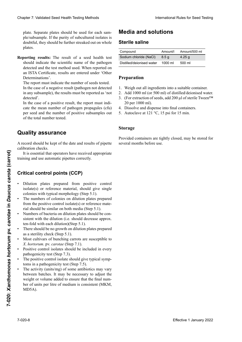plate. Separate plates should be used for each sample/subsample. If the purity of subcultured isolates is doubtful, they should be further streaked out on whole<br>plates. más diluidades el número de sos persones et compter le nombre de colonies et compte le nombre de colonies et co

Reporting results: The result of a seed health test should indicate the scientific name of the pathogen detected and the test method used. When reported on<br>an ISTA Certificate, results are entered under 'Other an ISTA Certificate, results are entered under 'Other Determinations'. Determinations'.<br>The report must indicate the number of seeds tested. Clearles 7. Validated Desel Hewitt Herista balded as the Media and Solutions of the Secondary of the Media Clearles Control international Control international control international control international control internati Chaos 7. Voltánia Sesel Heall Territo katolico de la mercial de la metallia de la metallia de la metallia de la metallia de la metallia de la metallia de la metallia de la metallia de la metallia de la metallia de la meta

In the case of a negative result (pathogen not detected stative durch durch den relative durch den relativenent durch den relativenent durch den relativenent durch de<br>In any subsemnient de results must be renorted as 'not in any subsample), the results must be reported as 'not<br>detected'

Place of the place of the laboratorization of the laboratorization of the detector of the laboratorization of the laboratorization of the laboratorization of the laboratorization of the laboratorization of the laboratoriza In the case of a positive result, the report must indithe description of parameters in the report must mean cate the mean number of pathogen propagules (cfu)  $\alpha$ iguales (colonias individuales de la subcurstances de la placas de la placas de la placas de la placa port de die mean namoer of paanogen propagares (era)<br>per seed and the number of positive subsamples out of the total number tested. of die total humber tested.<br> $\frac{1}{2}$ per seed and the number of positive subsamples out detected'.

#### $\overline{a}$ lity essenzano coalezca. De este modo, se puede subculturar subculturar subculturar seis concernsivativa en cada en cada en cada en cada en cada en cada sigere Zählung sollte dann an Platten mit einer höheren Verdünnungstufe erfolgen. Für die dicht bewachsene Pla<br>Sigere peuvent être repierte vier die Kolonienzahl mit 'vier 'vier 'vier 'vier 'vier 'vier 'vier 'vier 'vier ' **Quality assurance**

placa sectorizada. Se deben usar placas separadas para ecord should be kept of the date and results of pipette calibration checks. échantillon/sous-échantillon. Si la pureté des isolats A record should be kept of the date and results of pipette

It is essential that operators have received appropriate training and use automatic pipettes correctly.

### Critical control points (CCP)

- Dilution plates prepared from positive control • Dilution plates prepared from positive control isolate(s) or reference material, should give single colonies with typical morphology (Step 5.1). colonies with typical morphology (Step 5.1).
- The numbers of colonies on dilution plates prepared from the positive control isolate(s) or reference mate-<br>rial should be similar on both media (Step 5.1). rial should be similar on both media (Step 5.1).
- Numbers of bacteria on dilution plates should be consistent with the dilution (i.e. should decrease approx.<br>ten-fold with each dilution)(Sten 5.1) ten-fold with each dilution)(Step 5.1).
- There should be no growth on dilution plates prepared as a sterility check (Step 5.1).
- *Assi* cunivalis of bunching carrots are susceptible to *X*. *hortorum*. pv. *carotae* (Step 7.1). • Most cultivars of bunching carrots are susceptible to
- $\frac{1}{2}$  defeating the fectal (Step 7.2) sensiense name des Krankheitserregers und die krankheitserregers und die krankheitserregers und die konstantin<br>Constitution of the product of the product of the constant of the constant of the constant of the constant of verwendete Statten Berichterstatt die metalligen Erenter<br>
pathogenicity test (Step 7.3).<br>
The new item central isolate should die testinal news • Positive control isolates should be included in every representative text  $(S \text{tan } 7.2)$
- paint generity test (500pm). The positive control isolate should give typical symp-• The positive control isolate should give typical sympthe positive control isolate should give<br>toms in a pathogenicity test (Step 7.5).
- The activity (units/mg) of some antibiotics may vary  $\frac{1}{10}$  acu ber of units per litre of medium is consistent (MKM, between batches. It may be necessary to adjust the weight or volume added to ensure that the final num- $M$ D $\overline{D}$ A $)$ . It is essential that peratorics have received appropriate<br> **Effectival control points (CCP)**<br> **Critical control points (CCP)**<br> **Critical control points (CCP)**<br> **Critical control points prepared from positive control**<br> **Ex** MD5A).

# **Media and solutions**

### **Sterile saline**

| Compound                  | Amount/l | Amount/500 ml     |
|---------------------------|----------|-------------------|
| Sodium chloride (NaCl)    | 8.5a     | 4.25 $q$          |
| Distilled/deionised water | 1000 ml  | $500 \mathrm{ml}$ |
|                           |          |                   |

#### **Preparation** •No debe haber crecimiento en la placa de dilución pre-• Verdünnungsplatten, die von der Positivkontrolle oder référence devraient étre sur les deux militaires sur les deux militaires sur les deux militaires sur les deux <br>1911. Il décret de un sur les deux militaires sur les deux militaires sur les deux militaires sur les deux mil • Le nombre de bactéries des boîtes de dilution devrait

- 1. Weigh out all ingredients into a suitable container.
- 2. Add 1000 ml (or 500 ml) of distilled/deionised water.
- 2. Had 1000 hh (of 500 hh) of distribute derombed water.<br>2. (For extrection of soods, add 200 ul of storile TweenIM 20 per 1000 ml).  $(100 \text{ cm} \cdot 1000 \text{ m})$ 9. The 4 1000 mm (of 500 mm) of ensured accomoce water.<br>
3. (For extraction of seeds, add 200 μl of sterile Tween™
- 4. Dissolve and dispense into final containers.  $\tau$ . Dissolve and dispense mo mai containers.
- $\mu_{\text{total}}$  and dispense movement comando  $\sigma$ . Autoclave at 121 °C, 19 psi for 19 mm. Autoclave at  $121^\circ$ C, 19 psi for 19 min. sible *x hortorum* provider *x c*<sub>1</sub> *c*<sub>1</sub> *c*<sub>*n*</sub> *c*<sub>*i*</sub> *c<sub>n</sub>*<sup>*c*</sup><sub>*i*</sub> *c<sub>n</sub>*<sup>*c*</sup><sub>*i*</sub> *c<sub>n</sub>*<sup>*c*</sup><sub>*i*</sub> *c<sub>n</sub>*<sup>*c*</sup><sub>*i*</sub> *c<sub>n</sub>*<sup>*c*</sup><sub>*i*</sub> *c<sub>n</sub>*<sup>*c*</sup><sub>*i*</sub> *c<sub>n</sub>*<sup>*c*</sup><sub>*i*</sub> *c<sub>n</sub>*<sup>*c*</sup><sub>*i*</sub> *c<sub>n</sub>*<sup>*c*</sup><sub>*i*</sub> *c<sub>*</sub> 5. Autoclave at 121 °C, 15 psi for 15 min.

#### •La actividad (unidades/mg) de algunos antibióticos puede variar entre lotes. Puede ser necesario ajusta regionale ser necesario ajusta regionale ser necesario ajustar el ser necesario ajustar el ser necesario ajustar el ser necesario ajustar el ser necesario ajustar el ser je Verdünnungsstufe)(Schritt 5.1).  $\mathbf{S}$  being  $\mathbf{S}$  and  $\mathbf{S}$  aller  $\mathbf{S}$  and  $\mathbf{S}$  are  $\mathbf{S}$  and  $\mathbf{S}$  are  $\mathbf{S}$  and  $\mathbf{S}$  are  $\mathbf{S}$  and  $\mathbf{S}$  are  $\mathbf{S}$  and  $\mathbf{S}$  are  $\mathbf{S}$  and  $\mathbf{S}$  are  $\mathbf{S}$  and  $\mathbf{S}$   $\textbf{Storage}$ **Storage**

peso o volumen añadido para asegurar que el númevided containers are tightly closed, may be stored for several months before use. ten) darf kein Bakterienwachstum auftreten (Schritt v<sub>1</sub>de • Les unités par gramme de quelques antibiotiques Provided containers are tightly closed, may be stored for several months before use.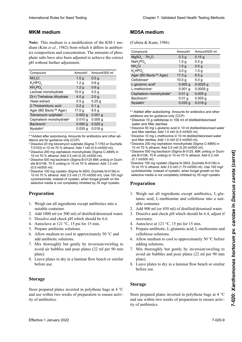### **Medio MKM Lagerung Milieu MKMMKM medium**

| <b>MKM</b> medium                                                                                                                                                                                                                                                                                                                                                                                                                                                                                                                                                                                                                                                                                                                                                                                                 |                                       |                                      | <b>MD5A medium</b>                                                                                                                                                                                                                                                                                                                                                                                                                                                                                                                                                                                                                                                |                   |                    |
|-------------------------------------------------------------------------------------------------------------------------------------------------------------------------------------------------------------------------------------------------------------------------------------------------------------------------------------------------------------------------------------------------------------------------------------------------------------------------------------------------------------------------------------------------------------------------------------------------------------------------------------------------------------------------------------------------------------------------------------------------------------------------------------------------------------------|---------------------------------------|--------------------------------------|-------------------------------------------------------------------------------------------------------------------------------------------------------------------------------------------------------------------------------------------------------------------------------------------------------------------------------------------------------------------------------------------------------------------------------------------------------------------------------------------------------------------------------------------------------------------------------------------------------------------------------------------------------------------|-------------------|--------------------|
| Note: This medium is a modification of the KM-1 me-<br>dium (Kim et al., 1982) from which it differs in antibiot-                                                                                                                                                                                                                                                                                                                                                                                                                                                                                                                                                                                                                                                                                                 |                                       |                                      | (Cubeta & Kuan, 1986)                                                                                                                                                                                                                                                                                                                                                                                                                                                                                                                                                                                                                                             |                   |                    |
| ics composition and concentration. The amounts of phos-                                                                                                                                                                                                                                                                                                                                                                                                                                                                                                                                                                                                                                                                                                                                                           |                                       |                                      | Compound                                                                                                                                                                                                                                                                                                                                                                                                                                                                                                                                                                                                                                                          | Amount/I          | Amount/500 ml      |
| phate salts have also been adjusted to achieve the correct                                                                                                                                                                                                                                                                                                                                                                                                                                                                                                                                                                                                                                                                                                                                                        |                                       |                                      | $MgSOa \cdot 7H2O$                                                                                                                                                                                                                                                                                                                                                                                                                                                                                                                                                                                                                                                | 0.3 <sub>g</sub>  | 0.15 <sub>g</sub>  |
|                                                                                                                                                                                                                                                                                                                                                                                                                                                                                                                                                                                                                                                                                                                                                                                                                   |                                       |                                      | NaH <sub>2</sub> PO <sub>4</sub>                                                                                                                                                                                                                                                                                                                                                                                                                                                                                                                                                                                                                                  | 1.0 <sub>g</sub>  | 0.5 <sub>g</sub>   |
| pH without further adjustment.                                                                                                                                                                                                                                                                                                                                                                                                                                                                                                                                                                                                                                                                                                                                                                                    |                                       |                                      | NH <sub>4</sub> CI                                                                                                                                                                                                                                                                                                                                                                                                                                                                                                                                                                                                                                                | 1.0 <sub>g</sub>  | 0.5 <sub>g</sub>   |
|                                                                                                                                                                                                                                                                                                                                                                                                                                                                                                                                                                                                                                                                                                                                                                                                                   |                                       |                                      | $K_2$ HPO $_A$                                                                                                                                                                                                                                                                                                                                                                                                                                                                                                                                                                                                                                                    | 3.0 <sub>g</sub>  | 1.5 <sub>g</sub>   |
| Compound                                                                                                                                                                                                                                                                                                                                                                                                                                                                                                                                                                                                                                                                                                                                                                                                          | Amount/I                              | Amount/500 ml                        | Agar (BD Bacto™ Agar)                                                                                                                                                                                                                                                                                                                                                                                                                                                                                                                                                                                                                                             | 17.0 g            | 8.5 <sub>g</sub>   |
| NH <sub>a</sub> Cl                                                                                                                                                                                                                                                                                                                                                                                                                                                                                                                                                                                                                                                                                                                                                                                                | 1.0 <sub>g</sub>                      | 0.5 <sub>g</sub>                     | Cellobiose <sup>a</sup>                                                                                                                                                                                                                                                                                                                                                                                                                                                                                                                                                                                                                                           | 10.0 <sub>g</sub> | 5.0 <sub>g</sub>   |
| $K_2$ HPO <sub>4</sub><br>$KH_2PO_4$                                                                                                                                                                                                                                                                                                                                                                                                                                                                                                                                                                                                                                                                                                                                                                              | 1.2 <sub>g</sub>                      | 0.6 <sub>g</sub>                     | L-glutamic acid <sup>b</sup>                                                                                                                                                                                                                                                                                                                                                                                                                                                                                                                                                                                                                                      | $0.005$ g         | $0.0025$ g         |
| Lactose monohydrate                                                                                                                                                                                                                                                                                                                                                                                                                                                                                                                                                                                                                                                                                                                                                                                               | 1.2 <sub>g</sub><br>10.0 <sub>g</sub> | 0.6 <sub>g</sub><br>5.0 <sub>g</sub> | L-methionine <sup>c</sup>                                                                                                                                                                                                                                                                                                                                                                                                                                                                                                                                                                                                                                         | $0.001$ g         | $0.0005$ g         |
| $D(+)$ Trehalose dihydrate                                                                                                                                                                                                                                                                                                                                                                                                                                                                                                                                                                                                                                                                                                                                                                                        | 4.0 <sub>g</sub>                      | 2.0 <sub>g</sub>                     | Cephalexin monohydrate <sup>d</sup>                                                                                                                                                                                                                                                                                                                                                                                                                                                                                                                                                                                                                               | 0.01 <sub>g</sub> | 0.005 <sub>g</sub> |
| Yeast extract                                                                                                                                                                                                                                                                                                                                                                                                                                                                                                                                                                                                                                                                                                                                                                                                     |                                       | 0.25 <sub>g</sub>                    | Bacitracin <sup>e</sup>                                                                                                                                                                                                                                                                                                                                                                                                                                                                                                                                                                                                                                           | $0.01$ g          | $0.005$ g          |
| 2-Thiobarbituric acid                                                                                                                                                                                                                                                                                                                                                                                                                                                                                                                                                                                                                                                                                                                                                                                             | 0.5 <sub>g</sub><br>0.2 <sub>g</sub>  | 0.1 <sub>g</sub>                     | <b>Nystatinf</b>                                                                                                                                                                                                                                                                                                                                                                                                                                                                                                                                                                                                                                                  | 0.035g            | $0.018$ g          |
| Agar (BD Bacto™ Agar)                                                                                                                                                                                                                                                                                                                                                                                                                                                                                                                                                                                                                                                                                                                                                                                             | 17.0 g                                | 8.5 <sub>g</sub>                     |                                                                                                                                                                                                                                                                                                                                                                                                                                                                                                                                                                                                                                                                   |                   |                    |
| Tobramycin sulphate <sup>a</sup>                                                                                                                                                                                                                                                                                                                                                                                                                                                                                                                                                                                                                                                                                                                                                                                  | $0.002$ g                             | $0.001$ g                            | a-f Added after autoclaving. Amounts for antibiotics and other                                                                                                                                                                                                                                                                                                                                                                                                                                                                                                                                                                                                    |                   |                    |
| Cephalexin monohydrate <sup>b</sup>                                                                                                                                                                                                                                                                                                                                                                                                                                                                                                                                                                                                                                                                                                                                                                               | 0.010 g                               | 0.005 <sub>g</sub>                   | additions are for guidance only (CCP)<br>a Dissolve 10 g cellobiose in 100 ml of distilled/deionised                                                                                                                                                                                                                                                                                                                                                                                                                                                                                                                                                              |                   |                    |
| Bacitracin <sup>c</sup>                                                                                                                                                                                                                                                                                                                                                                                                                                                                                                                                                                                                                                                                                                                                                                                           | $0.050$ g                             | $0.025$ g                            | water and filter sterilise.                                                                                                                                                                                                                                                                                                                                                                                                                                                                                                                                                                                                                                       |                   |                    |
| Nystatin <sup>d</sup>                                                                                                                                                                                                                                                                                                                                                                                                                                                                                                                                                                                                                                                                                                                                                                                             | $0.035$ g                             | $0.018$ g                            | <b>b</b> Dissolve 50 mg L-glutamic acid in 10 ml distilled/deionised water                                                                                                                                                                                                                                                                                                                                                                                                                                                                                                                                                                                        |                   |                    |
|                                                                                                                                                                                                                                                                                                                                                                                                                                                                                                                                                                                                                                                                                                                                                                                                                   |                                       |                                      | and filter sterilise. Add 1.0 ml/l (0.5 ml/500 ml).<br><sup>c</sup> Dissolve 10 mg L-methionine in 10 ml distilled/deionised water                                                                                                                                                                                                                                                                                                                                                                                                                                                                                                                                |                   |                    |
| a-d Added after autoclaving. Amounts for antibiotics and other ad-<br>ditions are for guidance only (CCP).<br><sup>a</sup> Dissolve 20 mg tobramycin sulphate (Sigma T-1783 or Duchefa<br>T-0153) in 10 ml 70 % ethanol. Add 1 ml/l (0.5 ml/500 ml).<br><b>b Dissolve 200 mg cephalexin monohydrate (Sigma C-4895) in</b><br>10 ml 70 % ethanol. Add 0.5 ml/l (0.25 ml/500 ml).<br>° Dissolve 500 mg bacitracin (Sigma B-0125 66K units/g or Duch-<br>efa B-0106, 70 K units/g) in 10 ml 70 % ethanol. Add 1.0 ml/l<br>$(0.5$ ml/500 ml).<br>d Dissolve 100 mg nystatin (Sigma N-3503, Duchefa N-0138) in<br>10 ml 70 % ethanol. Add 3.5 ml/l (1.75 ml/500 ml). Use 100 mg/l<br>cycloheximide, instead of nystatin, when fungal growth on the<br>selective media is not completely inhibited by 35 mg/l nystatin. |                                       |                                      | and filter sterilise. Add 1.0 ml/l (0.5 ml/500 ml).<br><sup>d</sup> Dissolve 200 mg cephalexin monohydrate (Sigma C-4895) in<br>10 ml 70 % ethanol. Add 0.5 ml/l (0.25 ml/500 ml).<br><sup>e</sup> Dissolve 500 mg bacitracin (Sigma B-0125, 66K units/g or Duch-<br>efa B-0106, 70 K units/g) in 10 ml 70 % ethanol. Add 0.2 ml/l<br>$(0.1$ ml/500 ml).<br><sup>f</sup> Dissolve 100 mg nystatin (Sigma N-3503, Duchefa N-0138) in<br>10 ml 70 % ethanol. Add 3.5 ml/l (1.75 ml/500 ml). Use 100 mg/l<br>cycloheximide, instead of nystatin, when fungal growth on the<br>selective media is not completely inhibited by 35 mg/l nystatin.<br><b>Preparation</b> |                   |                    |
| <b>Preparation</b><br>1. Weigh out all ingredients except antibiotics into a                                                                                                                                                                                                                                                                                                                                                                                                                                                                                                                                                                                                                                                                                                                                      |                                       |                                      | 1. Weigh out all ingredients except antibiotics, L-glu-<br>tamic acid, L-methionine and cellobiose into a suit-<br>able container.                                                                                                                                                                                                                                                                                                                                                                                                                                                                                                                                |                   |                    |
| suitable container.                                                                                                                                                                                                                                                                                                                                                                                                                                                                                                                                                                                                                                                                                                                                                                                               |                                       |                                      | 2. Add 900 ml (or 450 ml) of distilled/deionised water.                                                                                                                                                                                                                                                                                                                                                                                                                                                                                                                                                                                                           |                   |                    |
| 2. Add 1000 ml (or 500 ml) of distilled/deionised water.                                                                                                                                                                                                                                                                                                                                                                                                                                                                                                                                                                                                                                                                                                                                                          |                                       |                                      | 3. Dissolve and check pH which should be 6.4, adjust if                                                                                                                                                                                                                                                                                                                                                                                                                                                                                                                                                                                                           |                   |                    |
| 3. Dissolve and check pH which should be 6.6.                                                                                                                                                                                                                                                                                                                                                                                                                                                                                                                                                                                                                                                                                                                                                                     |                                       |                                      |                                                                                                                                                                                                                                                                                                                                                                                                                                                                                                                                                                                                                                                                   |                   |                    |
|                                                                                                                                                                                                                                                                                                                                                                                                                                                                                                                                                                                                                                                                                                                                                                                                                   |                                       |                                      | necessary.                                                                                                                                                                                                                                                                                                                                                                                                                                                                                                                                                                                                                                                        |                   |                    |
| 4. Autoclave at 121 $\degree$ C, 15 psi for 15 min.<br>5. Prepare antibiotic solutions.                                                                                                                                                                                                                                                                                                                                                                                                                                                                                                                                                                                                                                                                                                                           |                                       |                                      | 4. Autoclave at 121 °C, 15 psi for 15 min.                                                                                                                                                                                                                                                                                                                                                                                                                                                                                                                                                                                                                        |                   |                    |
|                                                                                                                                                                                                                                                                                                                                                                                                                                                                                                                                                                                                                                                                                                                                                                                                                   |                                       |                                      | 5. Prepare antibiotic, L-glutamic acid, L-methionine and                                                                                                                                                                                                                                                                                                                                                                                                                                                                                                                                                                                                          |                   |                    |
| 6. Allow medium to cool to approximately 50 $\degree$ C and                                                                                                                                                                                                                                                                                                                                                                                                                                                                                                                                                                                                                                                                                                                                                       |                                       |                                      | cellobiose solutions.<br>6. Allow medium to cool to approximately 50 $\degree$ C before                                                                                                                                                                                                                                                                                                                                                                                                                                                                                                                                                                           |                   |                    |
| add antibiotic solutions.                                                                                                                                                                                                                                                                                                                                                                                                                                                                                                                                                                                                                                                                                                                                                                                         |                                       |                                      |                                                                                                                                                                                                                                                                                                                                                                                                                                                                                                                                                                                                                                                                   |                   |                    |
| 7. Mix thoroughly but gently by inversion/swirling to                                                                                                                                                                                                                                                                                                                                                                                                                                                                                                                                                                                                                                                                                                                                                             |                                       |                                      | adding solutions.                                                                                                                                                                                                                                                                                                                                                                                                                                                                                                                                                                                                                                                 |                   |                    |
| avoid air bubbles and pour plates (22 ml per 90 mm                                                                                                                                                                                                                                                                                                                                                                                                                                                                                                                                                                                                                                                                                                                                                                |                                       |                                      | 7. Mix thoroughly but gently by inversion/swirling to<br>avoid air bubbles and pour plates (22 ml per 90 mm                                                                                                                                                                                                                                                                                                                                                                                                                                                                                                                                                       |                   |                    |
| plate).                                                                                                                                                                                                                                                                                                                                                                                                                                                                                                                                                                                                                                                                                                                                                                                                           |                                       |                                      |                                                                                                                                                                                                                                                                                                                                                                                                                                                                                                                                                                                                                                                                   |                   |                    |
| 8. Leave plates to dry in a laminar flow bench or similar<br>before use.                                                                                                                                                                                                                                                                                                                                                                                                                                                                                                                                                                                                                                                                                                                                          |                                       |                                      | plate).<br>8. Leave plates to dry in a laminar flow bench or similar<br>before use.                                                                                                                                                                                                                                                                                                                                                                                                                                                                                                                                                                               |                   |                    |
| <b>Storage</b>                                                                                                                                                                                                                                                                                                                                                                                                                                                                                                                                                                                                                                                                                                                                                                                                    |                                       |                                      |                                                                                                                                                                                                                                                                                                                                                                                                                                                                                                                                                                                                                                                                   |                   |                    |
|                                                                                                                                                                                                                                                                                                                                                                                                                                                                                                                                                                                                                                                                                                                                                                                                                   |                                       |                                      | <b>Storage</b>                                                                                                                                                                                                                                                                                                                                                                                                                                                                                                                                                                                                                                                    |                   |                    |
| Store prepared plates inverted in polythene bags at $4^{\circ}$ C                                                                                                                                                                                                                                                                                                                                                                                                                                                                                                                                                                                                                                                                                                                                                 |                                       |                                      |                                                                                                                                                                                                                                                                                                                                                                                                                                                                                                                                                                                                                                                                   |                   |                    |
| and use within two weeks of preparation to ensure activ-<br>ity of antibiotics.                                                                                                                                                                                                                                                                                                                                                                                                                                                                                                                                                                                                                                                                                                                                   |                                       |                                      | Store prepared plates inverted in polythene bags at $4^{\circ}$ C<br>and use within two weeks of preparation to ensure activ-<br>ity of antibiotics.                                                                                                                                                                                                                                                                                                                                                                                                                                                                                                              |                   |                    |
| Effective 1 January 2022                                                                                                                                                                                                                                                                                                                                                                                                                                                                                                                                                                                                                                                                                                                                                                                          |                                       |                                      |                                                                                                                                                                                                                                                                                                                                                                                                                                                                                                                                                                                                                                                                   |                   | 7-020-9            |

- antons are for galuance only (CCP).<br>ª Dissolve 20 mg tobramycin sulphate (Sigma T-1783 or Duchefa Dissolve 20 mg donamycin sulphate (Sigma T-1783 or Duchela<br>T-0153) in 10 ml 70 % ethanol. Add 1 ml/l (0.5 ml/500 ml).
- b Dissolve 200 mg cephalexin monohydrate (Sigma C-4895) in Dissolve 200 mg cephalexin monohydrate (Olgina C-4055) in 10 ml 70 % ethanol. Add 0.5 ml/l (0.25 ml/500 ml).
- c common common car chemale chemales monographic monohydrate common common common common common common common<br>C Dissolve 500 mg bacitracin (Sigma B-0125 66K units/g or Duchefa B-0106, 70 K units/g) in 10 ml 70 % ethanol. Add 1.0 ml/l  $(0.5 \text{ ml}/500 \text{ ml}).$
- (0.5 ml/500 ml).<br>₫ Dissolve 100 mg nystatin (Sigma N-3503, Duchefa N-0138) in 10 ml 70 % ethanol. Add 3.5 ml/l (1.75 ml/500 ml). Use 100 mg/l 10 ml 70 % ethanol. Add 3.5 ml/l (1.75 ml/500 ml). Use 100 mg/l<br>cycloheximide, instead of nystatin, when fungal growth on the cycloheximide, instead of nystatin, when fungal growth on the<br>selective media is not completely inhibited by 35 mg/l nystatin.

#### **Preparation** nistation, cuando el crecimiento del nome en el medio se el medio se el medio se el medio se el medio se el me in 10 ml 70-prozentigem Ethanol. Zugabe von 0,5 ml/l de la nystation mychélienne sur le militaire mychélienne sur le militaire mychélienne sur le militaire met de

- 1. Weigh out all ingredients except antibiotics into a suitable container.
- 2. Add 1000 ml (or 500 ml) of distilled/deionised water.
- 3. Dissolve and check pH which should be 6.6.
- 2. Person mais corrupto marked addeduse at  $10^{10}$  C  $\pm 15$  msi for 15 min 4. Autoclave at 121 °C, 15 psi for 15 min.
- 5. Prepare antibiotic solutions.
- 6. Allow medium to cool to approximately 50 °C and add antibiotic solutions.
- 2. Mix thoroughly but gently by inversion/swirling to  $\frac{1}{4}$ . And the 121  $\frac{1}{2}$  can be  $\frac{1}{2}$  can be 121  $\frac{1}{2}$  minutos.  $\frac{1}{2}$ <sup>1</sup>. MIX diotoughly but gently by inversion switchavoid air bubbles and pour plates (22 ml per 90 mm plate).
- 6. Dejar enfriar el medio a aproximadamente 50 °C y Leave plates to di y ill a laminal flow  $\overline{v}$ . Mezclar bien personal bien personal bien personal bien personal bien personal bien personal bien personal bien personal bien personal bien personal bien personal bien personal bien personal bien personal bien pe 1. Einwiegen aller Komponenten außer den Antibiotika Leave plates to dry in a  $\overline{v}$ .  $\overline{v}$ 6. Laisser le milieu refroidir à environ 50 °C avant d'ajou-8. Leave plates to dry in a laminar flow bench or similar  $\mathcal{V}$ . Bien mélanger le militaire par inversion  $\mathcal{V}$ before use.

#### $\mathbf{S}$  but age  $\overline{\mathbf{S}}$ . Lösen der Komponenten und prüfen des p $\mathbf{S}$ **Storage** Laisser les boûtes sécher sous hottes sécher sous hottes sécher sous hottes sécher sous hottes sécher sous hot<br>La proposition de la proposition de la proposition de la proposition de la proposition de la proposition de la

### **MD5A medium**

| Compound                            | Amount/I         | Amount/500 ml      |
|-------------------------------------|------------------|--------------------|
| $MgSO4 \cdot 7H2O$                  | 0.3 <sub>g</sub> | 0.15g              |
| NaH <sub>2</sub> PO <sub>4</sub>    | 1.0 <sub>q</sub> | 0.5 <sub>q</sub>   |
| NH <sub>4</sub> Cl                  | 1.0 <sub>g</sub> | 0.5 <sub>q</sub>   |
| K <sub>2</sub> HPO                  | 3.0 <sub>g</sub> | 1.5g               |
| Agar (BD Bacto™ Agar)               | 17.0 g           | 8.5q               |
| Cellobiose <sup>a</sup>             | 10.0 g           | 5.0 <sub>g</sub>   |
| L-glutamic acid <sup>b</sup>        | $0.005$ q        | $0.0025$ g         |
| $L$ -methionine $c$                 | $0.001$ a        | $0.0005$ q         |
| Cephalexin monohydrate <sup>d</sup> | $0.01$ g         | 0.005 <sub>a</sub> |
| <b>Bacitracin<sup>e</sup></b>       | $0.01$ q         | 0.005 <sub>a</sub> |
| Nystatinf                           | $0.035$ a        | 0.018q             |

- a Dissolve 10 g cellobiose in 100 ml of distilled/deionised water and filter sterilise.
- water and filter sterilise.<br>▷ Dissolve 50 mg L-glutamic acid in 10 ml distilled/deic Dissolve 50 mg L-gidianiic acid in 10 mi distinguated and filter sterilise. Add 1.0 ml/l (0.5 ml/500 ml).  $b$  Dissolve 50 mg L-glutamic acid in 10 ml distilled/deionised water
- Chia monotochilos. Add 1.0 mln (0.0 mln 000 mln).<br>CDissolve 10 mg L-methionine in 10 ml distilled/deionised water and filter sterilise. Add 1.0 ml/l (0.5 ml/500 ml).<br>
Spisoply 200 mg ophologin monohydrato (Sigma 0
- <sup>d</sup> Dissolve 200 mg cephalexin monohydrate (Sigma C-4895) in Agar (BD Bacto™ Agar) 17,0 g 8,5 g a–f Ajoutés après autoclavage. Quantités à titre indicatif seule-10 ml 70 % ethanol. Add 0.5 ml/l (0.25 ml/500 ml).
- e Dissolve 500 mg bacitracin (Sigma B-0125, 66K units/g or Duchefa B-0106, 70 K units/g) in 10 ml 70 % ethanol. Add 0.2 ml/l  $(0.1 \text{ ml}/500 \text{ ml})$ .  $(0.1 \text{ m} \mid /500 \text{ m}$ ).

#### 1,0 ml/l (1,5 ml). compared in the magnetic method in the magnetic method in the magnetic method in the magnetic method in the magnetic method in the magnetic method in the magnetic method in the magnetic method in the mag  $\Gamma$ .  $\Gamma$ r reparation tillée et stériliser par filtration. En ajouter par filtration  $P$ (0,5 ml/500 ml). **Preparation**

- 1. Weigh out tamic acid, L-methionine and cellobiose into a suiten 10 maart 10 maart 10 maart 10,35 maart 10,35 maart 10,35 maart 10,35 maart 10 maart 10 maart 10 maart 10 ml<br>able container.   Lösen von 10 mg Cellobiose in 100 ml destilliertem/de-1. Weigh out all ingredients except antibiotics, L-gluunités/g ou Duchefa B-0106, 7000 unités/g) dans 10 ml
- e discolver 500 million.<br>2008. 1000 mg de bacitra B-0125, 66 K unit 10013, 66 K university of the back  $\mu$ . Add  $\mu$ 01 ml (or  $\pm$  00 kml) or district definition was 2. Add 900 ml (or  $450$  ml) of distilled/deionised water. 2. Add 900 ml (or 450 ml) of distilled/deionised water.
- 3. Dissolve and check pH which should be 6.4, adjust if necessary.
- 4. Autoclave at 121 °C, 15 psi for 15 min.
- $\overline{5}$  Dranara antibiotic L glutomic soid L mathioning and  $\frac{1}{1}$  nispare antionome,  $\frac{1}{2}$  gradamic dere,  $\frac{1}{2}$  medinomic direction ectivolose solutions.<br>
Sigma Bacitracin (Sigma Bonda) n 11 metative at 121 ° c, 10 per 101 to 11 ml.<br>5 Prepare antibiotic L-glutamic acid L-methionine and  $\text{cellobiose solutions.}$ 5. Prepare antibiotic, L-glutamic acid, L-methionine and
- 6. Allow medium to cool to approximately 50  $\degree$ C before adding solutions.
- adding solut  $\frac{1}{2}$  and  $\frac{1}{2}$  reactives and pour plates (22 nm per 70 nm  $\frac{1}{2}$  and  $\frac{1}{2}$  mg Nystatin (32 ml nor 00 mm avoid air bubbles and pour plates  $(22 \text{ ml per } 90 \text{ mm})$  $(\text{plate})$ . <sup>2</sup>. Mix thoroughly but gently by inversion/swirling to plate).
- plate).<br>3. Leave plates to dry in a laminar flow bench or similar we change to dry in a familiar now benefit of shift before use.  $\overline{0}$  de agua de agua de agua de agua de agua de agua de agua de agua de agua de agua de agua de agua de agua de agua de agua de agua de agua de agua de agua de agua de agua de agua de agua de agua de agua de agua de a 8. Leave plates to dry in a laminar flow bench or similar  $\overline{0}$ .  $\overline{0}$  and  $\overline{0}$

#### $\overline{\mathbf{a}}$ . es nege  $6.42$  **Storage**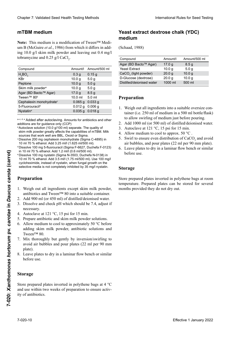### 6. Dejar enfriar el medio a aproximadamente 50 °C antes **Herstellung** 7.Bien mélanger le milieu doucement par inversion/agi-**mTBM medium**

| mTBM medium                                                                                                                                                                                                                                                                                                                                                                                                                                                                                                                                                                                                                                                                                                                                                                                                                                                               |                                        |                                      | Yeast extract dextrose chalk (YDC)<br>medium                                                                                                                                                                                                                                                                                                                                                                                                                                                                                                                      |                              |                             |
|---------------------------------------------------------------------------------------------------------------------------------------------------------------------------------------------------------------------------------------------------------------------------------------------------------------------------------------------------------------------------------------------------------------------------------------------------------------------------------------------------------------------------------------------------------------------------------------------------------------------------------------------------------------------------------------------------------------------------------------------------------------------------------------------------------------------------------------------------------------------------|----------------------------------------|--------------------------------------|-------------------------------------------------------------------------------------------------------------------------------------------------------------------------------------------------------------------------------------------------------------------------------------------------------------------------------------------------------------------------------------------------------------------------------------------------------------------------------------------------------------------------------------------------------------------|------------------------------|-----------------------------|
| Note: This medium is a modification of Tween™ Medi-<br>um B (McGuire et al., 1986) from which it differs in add-<br>ing 10.0 g/l skim milk powder and leaving out 0.4 mg/l                                                                                                                                                                                                                                                                                                                                                                                                                                                                                                                                                                                                                                                                                                |                                        |                                      | (Schaad, 1988)                                                                                                                                                                                                                                                                                                                                                                                                                                                                                                                                                    |                              |                             |
| tobramycine and 0.25 g/l CaCl <sub>2</sub> .                                                                                                                                                                                                                                                                                                                                                                                                                                                                                                                                                                                                                                                                                                                                                                                                                              |                                        |                                      | Compound                                                                                                                                                                                                                                                                                                                                                                                                                                                                                                                                                          | Amount/I                     | Amount/500 ml               |
|                                                                                                                                                                                                                                                                                                                                                                                                                                                                                                                                                                                                                                                                                                                                                                                                                                                                           |                                        |                                      | Agar (BD Bacto™ Agar)                                                                                                                                                                                                                                                                                                                                                                                                                                                                                                                                             | 17.0 g                       | 8.5 <sub>g</sub>            |
| Compound                                                                                                                                                                                                                                                                                                                                                                                                                                                                                                                                                                                                                                                                                                                                                                                                                                                                  | Amount/I                               | Amount/500 ml                        | <b>Yeast Extract</b>                                                                                                                                                                                                                                                                                                                                                                                                                                                                                                                                              | 10.0 <sub>g</sub>            | 5.0 <sub>g</sub>            |
| $H_3BO_3$                                                                                                                                                                                                                                                                                                                                                                                                                                                                                                                                                                                                                                                                                                                                                                                                                                                                 | 0.3 <sub>g</sub>                       | 0.15 <sub>g</sub>                    | $CaCO3$ (light powder)                                                                                                                                                                                                                                                                                                                                                                                                                                                                                                                                            | 20.0 <sub>g</sub>            | 10.0 <sub>g</sub>           |
| <b>KBr</b>                                                                                                                                                                                                                                                                                                                                                                                                                                                                                                                                                                                                                                                                                                                                                                                                                                                                | 10.0 <sub>g</sub>                      | 5.0 <sub>g</sub>                     | D-Glucose (dextrose)<br>Distilled/deionised water                                                                                                                                                                                                                                                                                                                                                                                                                                                                                                                 | 20.0 <sub>g</sub><br>1000 ml | 10.0 <sub>g</sub><br>500 ml |
| Peptone                                                                                                                                                                                                                                                                                                                                                                                                                                                                                                                                                                                                                                                                                                                                                                                                                                                                   | 10.0 <sub>g</sub>                      | 5.0 <sub>g</sub>                     |                                                                                                                                                                                                                                                                                                                                                                                                                                                                                                                                                                   |                              |                             |
| Skim milk powder <sup>a</sup><br>Agar (BD Bacto™ Agar)                                                                                                                                                                                                                                                                                                                                                                                                                                                                                                                                                                                                                                                                                                                                                                                                                    | 10.0 <sub>g</sub><br>17.0 <sub>g</sub> | 5.0 <sub>g</sub><br>8.5 <sub>g</sub> |                                                                                                                                                                                                                                                                                                                                                                                                                                                                                                                                                                   |                              |                             |
| Tween™ 80 <sup>b</sup>                                                                                                                                                                                                                                                                                                                                                                                                                                                                                                                                                                                                                                                                                                                                                                                                                                                    | 10.0 ml                                | 5.0 ml                               |                                                                                                                                                                                                                                                                                                                                                                                                                                                                                                                                                                   |                              |                             |
| Cephalexin monohydrate <sup>c</sup>                                                                                                                                                                                                                                                                                                                                                                                                                                                                                                                                                                                                                                                                                                                                                                                                                                       | $0.065$ g                              | 0.033 <sub>g</sub>                   | Preparation                                                                                                                                                                                                                                                                                                                                                                                                                                                                                                                                                       |                              |                             |
| 5-Fluorouracil <sup>d</sup>                                                                                                                                                                                                                                                                                                                                                                                                                                                                                                                                                                                                                                                                                                                                                                                                                                               | $0.012$ g $0.006$ g                    |                                      |                                                                                                                                                                                                                                                                                                                                                                                                                                                                                                                                                                   |                              |                             |
| <b>Nystatin<sup>e</sup></b>                                                                                                                                                                                                                                                                                                                                                                                                                                                                                                                                                                                                                                                                                                                                                                                                                                               | 0.035 g 0.018 g                        |                                      | 1. Weigh out all ingredients into a suitable oversize con-<br>tainer (i.e. 250 ml of medium in a 500 ml bottle/flask)                                                                                                                                                                                                                                                                                                                                                                                                                                             |                              |                             |
| additions are for guidance only (CCP)<br><sup>a</sup> Autoclave solution (10.0 g/100 ml) separate. The quality of<br>skim milk powder greatly affects the capabilities of mTBM. Milk<br>sources that work well are BBL, Oxoid or Sigma.<br><sup>c</sup> Dissolve 200 mg cephalexin monohydrate (Sigma C-4895) in<br>10 ml 70 % ethanol. Add 3.25 ml/l (1.625 ml/500 ml).<br><sup>d</sup> Dissolve 100 mg 5-fluorouracil (Sigma F-6627, Duchefa F-0123)<br>in 10 ml 70 % ethanol. Add 1.2 ml/l (0.6 ml/500 ml).<br><sup>e</sup> Dissolve 100 mg nystatin (Sigma N-3503, Duchefa N-0138) in<br>10 ml 70 % ethanol. Add 3.5 ml/l (1.75 ml/500 ml). Use 100 mg/l<br>cycloheximide, instead of nystatin, when fungal growth on the<br>selective media is not completely inhibited by 35 mg/l nystatin.<br>Preparation<br>1. Weigh out all ingredients except skim milk powder, |                                        |                                      | 2. Add 1000 ml (or 500 ml) of distilled/deionised water.<br>3. Autoclave at 121 $\degree$ C, 15 psi for 15 min.<br>4. Allow medium to cool to approx. $50^{\circ}$ C.<br>5. Swirl to ensure even distribution of CaCO <sub>3</sub> and avoid<br>air bubbles, and pour plates (22 ml per 90 mm plate).<br>6. Leave plates to dry in a laminar flow bench or similar<br>before use.<br><b>Storage</b><br>Store prepared plates inverted in polythene bags at room<br>temperature. Prepared plates can be stored for several<br>months provided they do not dry out. |                              |                             |
| antibiotics and Tween™ 80 into a suitable container.                                                                                                                                                                                                                                                                                                                                                                                                                                                                                                                                                                                                                                                                                                                                                                                                                      |                                        |                                      |                                                                                                                                                                                                                                                                                                                                                                                                                                                                                                                                                                   |                              |                             |
| 2. Add 900 ml (or 450 ml) of distilled/deionised water.                                                                                                                                                                                                                                                                                                                                                                                                                                                                                                                                                                                                                                                                                                                                                                                                                   |                                        |                                      |                                                                                                                                                                                                                                                                                                                                                                                                                                                                                                                                                                   |                              |                             |
| 3. Dissolve and check pH which should be 7.4, adjust if                                                                                                                                                                                                                                                                                                                                                                                                                                                                                                                                                                                                                                                                                                                                                                                                                   |                                        |                                      |                                                                                                                                                                                                                                                                                                                                                                                                                                                                                                                                                                   |                              |                             |
| necessary.                                                                                                                                                                                                                                                                                                                                                                                                                                                                                                                                                                                                                                                                                                                                                                                                                                                                |                                        |                                      |                                                                                                                                                                                                                                                                                                                                                                                                                                                                                                                                                                   |                              |                             |
| 4. Autoclave at 121 $\degree$ C, 15 psi for 15 min.                                                                                                                                                                                                                                                                                                                                                                                                                                                                                                                                                                                                                                                                                                                                                                                                                       |                                        |                                      |                                                                                                                                                                                                                                                                                                                                                                                                                                                                                                                                                                   |                              |                             |
| 5. Prepare antibiotic and skim milk powder solutions.                                                                                                                                                                                                                                                                                                                                                                                                                                                                                                                                                                                                                                                                                                                                                                                                                     |                                        |                                      |                                                                                                                                                                                                                                                                                                                                                                                                                                                                                                                                                                   |                              |                             |
| 6. Allow medium to cool to approximately 50 $\degree$ C before                                                                                                                                                                                                                                                                                                                                                                                                                                                                                                                                                                                                                                                                                                                                                                                                            |                                        |                                      |                                                                                                                                                                                                                                                                                                                                                                                                                                                                                                                                                                   |                              |                             |
| adding skim milk powder, antibiotic solutions and                                                                                                                                                                                                                                                                                                                                                                                                                                                                                                                                                                                                                                                                                                                                                                                                                         |                                        |                                      |                                                                                                                                                                                                                                                                                                                                                                                                                                                                                                                                                                   |                              |                             |
| Tween™ 80.                                                                                                                                                                                                                                                                                                                                                                                                                                                                                                                                                                                                                                                                                                                                                                                                                                                                |                                        |                                      |                                                                                                                                                                                                                                                                                                                                                                                                                                                                                                                                                                   |                              |                             |
| 7. Mix thoroughly but gently by inversion/swirling to                                                                                                                                                                                                                                                                                                                                                                                                                                                                                                                                                                                                                                                                                                                                                                                                                     |                                        |                                      |                                                                                                                                                                                                                                                                                                                                                                                                                                                                                                                                                                   |                              |                             |
| avoid air bubbles and pour plates (22 ml per 90 mm                                                                                                                                                                                                                                                                                                                                                                                                                                                                                                                                                                                                                                                                                                                                                                                                                        |                                        |                                      |                                                                                                                                                                                                                                                                                                                                                                                                                                                                                                                                                                   |                              |                             |
| plate).                                                                                                                                                                                                                                                                                                                                                                                                                                                                                                                                                                                                                                                                                                                                                                                                                                                                   |                                        |                                      |                                                                                                                                                                                                                                                                                                                                                                                                                                                                                                                                                                   |                              |                             |
| 8. Leave plates to dry in a laminar flow bench or similar<br>before use.                                                                                                                                                                                                                                                                                                                                                                                                                                                                                                                                                                                                                                                                                                                                                                                                  |                                        |                                      |                                                                                                                                                                                                                                                                                                                                                                                                                                                                                                                                                                   |                              |                             |
| <b>Storage</b>                                                                                                                                                                                                                                                                                                                                                                                                                                                                                                                                                                                                                                                                                                                                                                                                                                                            |                                        |                                      |                                                                                                                                                                                                                                                                                                                                                                                                                                                                                                                                                                   |                              |                             |
| Store prepared plates inverted in polythene bags at $4^{\circ}$ C<br>and use within two weeks of preparation to ensure activ-<br>ity of antibiotics.                                                                                                                                                                                                                                                                                                                                                                                                                                                                                                                                                                                                                                                                                                                      |                                        |                                      |                                                                                                                                                                                                                                                                                                                                                                                                                                                                                                                                                                   |                              |                             |
|                                                                                                                                                                                                                                                                                                                                                                                                                                                                                                                                                                                                                                                                                                                                                                                                                                                                           |                                        |                                      |                                                                                                                                                                                                                                                                                                                                                                                                                                                                                                                                                                   |                              |                             |

- additions are for guidance only (CCP)<br>ªAutoclave solution (10.0 g/100 ml) separate. The quality of Adioclave solution (10.0 g/100 mi) separate. The quality of<br>skim milk powder greatly affects the capabilities of mTBM. Milk Shah mink power groung under the dependence of minute. In sources that work well are BBL, Oxoid or Sigma.
- 10 ml 70 % ethanol. Add 3.25 ml/l (1.625 ml/500 ml). <sup>c</sup>Dissolve 200 mg cephalexin monohydrate (Sigma C-4895) in
- dDissolve 100 mg 5-fluorouracil (Sigma F-6627, Duchefa F-0123) Dissolver to might allowed the might version in 10 ml 70 % ethanol. Add 1.2 ml/l (0.6 ml/500 ml).
- <sup>e</sup> Dissolve 100 mg nystatin (Sigma N-3503, Duchefa N-0138) in Peptone 10,0 g 5,0 g cycloheximide, instead of nystatin, when fungal growth on the spective media is not co republicaning to instead of hystalin, when lungary to calentive media is not completely inhibited by 35 m 10 ml 70 % ethanol. Add 3.5 ml/l (1.75 ml/500 ml). Use 100 mg/l selective media is not completely inhibited by 35 mg/l nystatin. Effective 1 January 2022<br> **Effective 1** January 2022<br> **Effective 1** January 2022<br> **Effective 1** January 2022<br> **Effective 1** January 2022<br> **Example 12**  $\frac{1}{2}$  state of *carrotating carotating carotating* **carrotatin**

### **Preparation**

- 1. Weigh out all ingredients except skim milk powder,  $\frac{1}{2}$  antibiotics and Tween™ 80 into a suitable container. antibiones and tween  $\theta$  or mo a sunable comannel.
- 2. Add 900 ml (or 450 ml) of distilled/deionised water.
- a–c, d, e Agregado de autoclavar. Las cantidades de autoclavar. Las cantidades de las cantidades de las cantida<br>2000 Las cantidades de la segundades de la segunda de la segunda de la segunda de la segunda de la segunda d 3. Dissolve and check pH which should be 7.4, adjust if necessary.
- 4. Autoclave at 121 °C, 15 psi for 15 min.
- E-4895 C-4895 de la leche de la leche de la leche de la leche de la leche de la leche de la leche de la leche de la leche de la leche de la leche de la leche de la leche de la leche de la leche de la leche de la leche de 5. Prepare antibiotic and skim milk powder solutions.
- 6. Allow medium to cool to approximately 50 °C before  $f(x) = \frac{1}{1!} \cdot \frac{1}{1!} \cdot \frac{1}{1!} \cdot \frac{1}{1!} \cdot \frac{1}{1!}$ adding skim milk powder, antibiotic solutions and  $T$ ween $T M 80$ .
- 7. Mix thoroughly but gently by inversion/swirling to 2013) en 10 mix diorouginy out gently by inversion switting plate).  $\sum_{i=1}^{\text{part}}$ avoid air bubbles and pour plates (22 ml per 90 mm de la nystatine quand la croissance mycélienne sur le milieu mycélienne sur le milieu mycélienne sur le milieu
- 8. Leave plates to dry in a laminar flow bench or similar before use.

# **Storage**

### Yeast extract dextrose chalk (YDC) designations des solutions d'antibiotique, et de la internacionale de la internacionale de la internacionale de la internacionale de la internacionale de la internacionale de la internacionale de la internacionale de la in

| Compound                  | Amount/l          | Amount/500 ml     |
|---------------------------|-------------------|-------------------|
| Agar (BD Bacto™ Agar)     | 17.0 g            | 8.5 <sub>g</sub>  |
| <b>Yeast Extract</b>      | 10.0 <sub>q</sub> | 5.0 <sub>g</sub>  |
| $CaCO3$ (light powder)    | 20.0 <sub>q</sub> | 10.0 <sub>q</sub> |
| D-Glucose (dextrose)      | 20.0 <sub>q</sub> | 10.0 <sub>q</sub> |
| Distilled/deionised water | 1000 ml           | 500 ml            |
|                           |                   |                   |

#### $P$  per paration paration **Preparation**  $T_{\text{max}}$

- **Almer** (i.e. 2 1. Weigh out all ingredients into a suitable oversize con- $\frac{1}{250-1}$   $\frac{1}{250-1}$   $\frac{1}{200}$ Nystatine 0,035 g 0,018 g polytonical de  $\frac{250 \text{ m} \cdot 1 \cdot \text{f}}{250 \text{ m} \cdot 1 \cdot \text{f}}$ tainer (i.e. 250 ml of medium in a 500 ml bottle/flask) to allow swirling of medium just before pouring.
- 2. Add 1000 ml (or 500 ml) of distilled/deionised water.
- 3. Autoclave at 121 °C, 15 psi for 15 min.

- 4. Allow medium to cool to approx.  $50^{\circ}$ C .
- $\frac{11}{2}$ 5. Swirl to ensure even distribution of  $CaCO<sub>3</sub>$  and avoid air bubbles, and pour plates (22 ml per 90 mm plate).
- 6. Leave plates to dry in a laminar flow bench or similar  $\frac{1}{6}$ before use.

#### chefa F0123) in 10 ml 70-prozentigem Ethanol. Zugabe von Storage **Storage**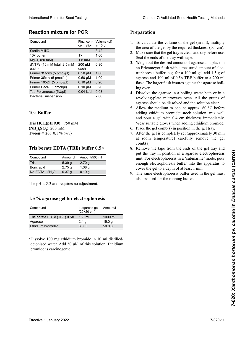### **Reaction mixture for PCR**

| Final con- Volume (µl)<br>centration in 10 µl<br>the area of the gel by the required thickness (0.4 cm).<br>Sterile MilliQ<br>3.42<br>$10\times$ buffer<br>1.00<br>1x<br>Seal the ends of the tray with tape.<br>MgCl <sub>2</sub> (50 mM)<br>$1.5 \text{ mM}$<br>0.30<br>dNTPs (10 mM total, 2.5 mM<br>0.80<br>200 µM<br>each<br>each)<br>Primer 3Sforw (5 pmol/µl)<br>$0.50 \mu M$<br>1.00<br>Primer 3Srev (5 pmol/µl)<br>$0.50 \mu M$<br>1.00<br>Primer 1052F (5 pmol/µl)<br>$0.10 \mu M$<br>0.20<br>Primer BacR (5 pmol/µl)<br>$0.10 \mu M$<br>0.20<br>ing over.<br>Taq Polymerase (5U/µl)<br>$0.04$ U/µl<br>0.08<br>2.00<br>Bacterial suspension<br>$10\times$ Buffer<br>Tris HCL $(pH 9.0)$ : 750 mM<br>6. Place the gel comb(s) in position in the gel tray.<br>$(NH_4)$ <sub>2</sub> SO <sub>4</sub> : 200 mM<br><b>Tween<sup>TM</sup> 20:</b> 0.1 % (v/v)<br>$comb(s)$ .<br>Tris borate EDTA (TBE) buffer 0.5×<br>Amount/500 ml<br>Compound<br>Amount/I<br><b>Tris</b><br>5.39 g<br>2.70 <sub>g</sub><br>Boric acid<br>2.75 <sub>g</sub><br>1.38 <sub>g</sub><br>cover the gel to a depth of at least 1 mm.<br>$Na2EDTA \cdot 2H2O$<br>0.19 <sub>g</sub><br>0.37 <sub>g</sub><br>also be used for the running buffer.<br>The pH is 8.3 and requires no adjustment.<br>1.5 % agarose gel for electrophoresis<br>Compound<br>1 agarose gel<br>Amount/I<br>$(20×20$ cm)<br>160 ml<br>Tris borate EDTA (TBE) 0.5x<br>1000 ml<br>2.4 <sub>g</sub><br>15.0 <sub>g</sub><br>50.0 µl<br>$8.0 \mu l$ |                                          |  |                                                                                                                                                                                                                                                                                                                                                                                                                                                                                                                                                                                                                                                   |
|------------------------------------------------------------------------------------------------------------------------------------------------------------------------------------------------------------------------------------------------------------------------------------------------------------------------------------------------------------------------------------------------------------------------------------------------------------------------------------------------------------------------------------------------------------------------------------------------------------------------------------------------------------------------------------------------------------------------------------------------------------------------------------------------------------------------------------------------------------------------------------------------------------------------------------------------------------------------------------------------------------------------------------------------------------------------------------------------------------------------------------------------------------------------------------------------------------------------------------------------------------------------------------------------------------------------------------------------------------------------------------------------------------------------------------------------------------------------------------------------------|------------------------------------------|--|---------------------------------------------------------------------------------------------------------------------------------------------------------------------------------------------------------------------------------------------------------------------------------------------------------------------------------------------------------------------------------------------------------------------------------------------------------------------------------------------------------------------------------------------------------------------------------------------------------------------------------------------------|
| 2. Make sure that the gel tray is clean and dry before use.                                                                                                                                                                                                                                                                                                                                                                                                                                                                                                                                                                                                                                                                                                                                                                                                                                                                                                                                                                                                                                                                                                                                                                                                                                                                                                                                                                                                                                          | Compound                                 |  | 1. To calculate the volume of the gel (in ml), multiply                                                                                                                                                                                                                                                                                                                                                                                                                                                                                                                                                                                           |
|                                                                                                                                                                                                                                                                                                                                                                                                                                                                                                                                                                                                                                                                                                                                                                                                                                                                                                                                                                                                                                                                                                                                                                                                                                                                                                                                                                                                                                                                                                      |                                          |  |                                                                                                                                                                                                                                                                                                                                                                                                                                                                                                                                                                                                                                                   |
| 3. Weigh out the desired amount of agarose and place in                                                                                                                                                                                                                                                                                                                                                                                                                                                                                                                                                                                                                                                                                                                                                                                                                                                                                                                                                                                                                                                                                                                                                                                                                                                                                                                                                                                                                                              |                                          |  |                                                                                                                                                                                                                                                                                                                                                                                                                                                                                                                                                                                                                                                   |
|                                                                                                                                                                                                                                                                                                                                                                                                                                                                                                                                                                                                                                                                                                                                                                                                                                                                                                                                                                                                                                                                                                                                                                                                                                                                                                                                                                                                                                                                                                      |                                          |  |                                                                                                                                                                                                                                                                                                                                                                                                                                                                                                                                                                                                                                                   |
| an Erlenmeyer flask with a measured amount of elec-                                                                                                                                                                                                                                                                                                                                                                                                                                                                                                                                                                                                                                                                                                                                                                                                                                                                                                                                                                                                                                                                                                                                                                                                                                                                                                                                                                                                                                                  |                                          |  |                                                                                                                                                                                                                                                                                                                                                                                                                                                                                                                                                                                                                                                   |
| trophoresis buffer, e.g. for a 100 ml gel add 1.5 g of                                                                                                                                                                                                                                                                                                                                                                                                                                                                                                                                                                                                                                                                                                                                                                                                                                                                                                                                                                                                                                                                                                                                                                                                                                                                                                                                                                                                                                               |                                          |  |                                                                                                                                                                                                                                                                                                                                                                                                                                                                                                                                                                                                                                                   |
| agarose and 100 ml of 0.5× TBE buffer to a 200 ml<br>flask. The larger flask insures against the agarose boil-<br>4. Dissolve the agarose in a boiling water bath or in a<br>revolving-plate microwave oven. All the grains of<br>agarose should be dissolved and the solution clear.                                                                                                                                                                                                                                                                                                                                                                                                                                                                                                                                                                                                                                                                                                                                                                                                                                                                                                                                                                                                                                                                                                                                                                                                                |                                          |  |                                                                                                                                                                                                                                                                                                                                                                                                                                                                                                                                                                                                                                                   |
|                                                                                                                                                                                                                                                                                                                                                                                                                                                                                                                                                                                                                                                                                                                                                                                                                                                                                                                                                                                                                                                                                                                                                                                                                                                                                                                                                                                                                                                                                                      |                                          |  |                                                                                                                                                                                                                                                                                                                                                                                                                                                                                                                                                                                                                                                   |
|                                                                                                                                                                                                                                                                                                                                                                                                                                                                                                                                                                                                                                                                                                                                                                                                                                                                                                                                                                                                                                                                                                                                                                                                                                                                                                                                                                                                                                                                                                      |                                          |  |                                                                                                                                                                                                                                                                                                                                                                                                                                                                                                                                                                                                                                                   |
|                                                                                                                                                                                                                                                                                                                                                                                                                                                                                                                                                                                                                                                                                                                                                                                                                                                                                                                                                                                                                                                                                                                                                                                                                                                                                                                                                                                                                                                                                                      |                                          |  |                                                                                                                                                                                                                                                                                                                                                                                                                                                                                                                                                                                                                                                   |
|                                                                                                                                                                                                                                                                                                                                                                                                                                                                                                                                                                                                                                                                                                                                                                                                                                                                                                                                                                                                                                                                                                                                                                                                                                                                                                                                                                                                                                                                                                      |                                          |  |                                                                                                                                                                                                                                                                                                                                                                                                                                                                                                                                                                                                                                                   |
|                                                                                                                                                                                                                                                                                                                                                                                                                                                                                                                                                                                                                                                                                                                                                                                                                                                                                                                                                                                                                                                                                                                                                                                                                                                                                                                                                                                                                                                                                                      |                                          |  |                                                                                                                                                                                                                                                                                                                                                                                                                                                                                                                                                                                                                                                   |
|                                                                                                                                                                                                                                                                                                                                                                                                                                                                                                                                                                                                                                                                                                                                                                                                                                                                                                                                                                                                                                                                                                                                                                                                                                                                                                                                                                                                                                                                                                      |                                          |  | 5. Allow the medium to cool to approx. $60^{\circ}$ C before<br>adding ethidium bromide <sup>a</sup> stock solution, mix well<br>and pour a gel with 0.4 cm thickness immediately.<br>Wear suitable gloves when adding ethidium bromide.<br>7. After the gel is completely set (approximately 30 min<br>at room temperature) carefully remove the gel<br>8. Remove the tape from the ends of the gel tray and<br>put the tray in position in a agarose electrophoresis<br>unit. For electrophoresis in a 'submarine' mode, pour<br>enough electrophoresis buffer into the apparatus to<br>9. The same electrophoresis buffer used in the gel must |
|                                                                                                                                                                                                                                                                                                                                                                                                                                                                                                                                                                                                                                                                                                                                                                                                                                                                                                                                                                                                                                                                                                                                                                                                                                                                                                                                                                                                                                                                                                      |                                          |  |                                                                                                                                                                                                                                                                                                                                                                                                                                                                                                                                                                                                                                                   |
|                                                                                                                                                                                                                                                                                                                                                                                                                                                                                                                                                                                                                                                                                                                                                                                                                                                                                                                                                                                                                                                                                                                                                                                                                                                                                                                                                                                                                                                                                                      |                                          |  |                                                                                                                                                                                                                                                                                                                                                                                                                                                                                                                                                                                                                                                   |
|                                                                                                                                                                                                                                                                                                                                                                                                                                                                                                                                                                                                                                                                                                                                                                                                                                                                                                                                                                                                                                                                                                                                                                                                                                                                                                                                                                                                                                                                                                      |                                          |  |                                                                                                                                                                                                                                                                                                                                                                                                                                                                                                                                                                                                                                                   |
|                                                                                                                                                                                                                                                                                                                                                                                                                                                                                                                                                                                                                                                                                                                                                                                                                                                                                                                                                                                                                                                                                                                                                                                                                                                                                                                                                                                                                                                                                                      |                                          |  |                                                                                                                                                                                                                                                                                                                                                                                                                                                                                                                                                                                                                                                   |
|                                                                                                                                                                                                                                                                                                                                                                                                                                                                                                                                                                                                                                                                                                                                                                                                                                                                                                                                                                                                                                                                                                                                                                                                                                                                                                                                                                                                                                                                                                      | Agarose<br>Ethidium bromide <sup>a</sup> |  |                                                                                                                                                                                                                                                                                                                                                                                                                                                                                                                                                                                                                                                   |
|                                                                                                                                                                                                                                                                                                                                                                                                                                                                                                                                                                                                                                                                                                                                                                                                                                                                                                                                                                                                                                                                                                                                                                                                                                                                                                                                                                                                                                                                                                      |                                          |  |                                                                                                                                                                                                                                                                                                                                                                                                                                                                                                                                                                                                                                                   |
|                                                                                                                                                                                                                                                                                                                                                                                                                                                                                                                                                                                                                                                                                                                                                                                                                                                                                                                                                                                                                                                                                                                                                                                                                                                                                                                                                                                                                                                                                                      |                                          |  | 7-020-11                                                                                                                                                                                                                                                                                                                                                                                                                                                                                                                                                                                                                                          |

#### $\log \frac{B}{\log T}$  $\alpha$  $\mathbf{D}^{\mathbf{C}}$  buner **Tampon 10× 10× Buffer**

#### reichend großes Gefäß (z. B. 250 ml Medium in einer  $\bf{1}$ s dorate EDIA (IBE) duffer  $\bf{0.5}$ × **Tampon Tris borate EDTA (TBE) 0,5× Tris borate EDTA (TBE) buffer 0.5×**

| Compound             | Amount/I | Amount/500 ml     |
|----------------------|----------|-------------------|
| Tris                 | 5.39q    | 2.70 g            |
| Boric acid           | 2.75q    | 1.38 <sub>q</sub> |
| $Na2EDTA \cdot 2H2O$ | 0.37 g   | 0.19q             |

### 1.5 % agarose gel for electrophoresis

| Compound                      | 1 agarose gel<br>$(20×20$ cm) | Amount/l  |
|-------------------------------|-------------------------------|-----------|
| Tris borate EDTA (TBE) 0.5×   | 160 ml                        | 1000 ml   |
| Agarose                       | 2.4 <sub>g</sub>              | 15.0 g    |
| Ethidium bromide <sup>a</sup> | $8.0$ µl                      | $50.0$ µl |

### **Preparation**

- 1. To calculate the volume of the gel (in ml), multiply the area of the gel by the required thickness  $(0.4 \text{ cm})$ .
- 2. Make sure that the gel tray is clean and dry before use. **Seal the ends of the tray with tape.** Seal the ends of the tray with tape.
- Example of the cantidate of the cantidate.<br>3. Weigh out the desired amount of agarose and place in an Erlenmeyer flask with a measured amount of electrophoresis buffer, e.g. for a 100 ml gel add 1.5 g of agarose and 100 ml of  $0.5 \times$  TBE buffer to a 200 ml<br>flask. The larger flask insures against the agarose boilflask. The larger flask insures against the agarose boilse derrame al hervir de pressente ment de présentation de présentation de présentation de présentation de prév<br>ing over. 3. Weigh out the desired amount of agarose and place in<br>an Erlenmeyer flask with a measured amount of elec-
- 4. Dissolve the agarose in a boiling water bath or in a revolving-plate microwave oven. All the grains of determing place interestance over. The disponsion agarose should be dissolved and the solution clear.
- solute be dissolved and the solution elear.<br>5. Allow the medium to cool to approx. 60 °C before 5. Allow the medium to cool to approx. So C before adding ethidium bromude stock solution, mix well<br>and pour a gel with 0.4 cm thickness immediately. and pour a ger with 0.4 cm differents immediately wear sunable gloves when adding emidium bromide. **The Summer Summer Set of the 9.0** and pour a ger with 0.4 cm differents immédiately.<br>Wear suitable gloves when adding ethidium bromide. wear suitable gloves when add
- Prace the get come **(NH4 2 SO4 b** a come get come 6. Place the gel comb(s) in position in the gel tray.
- $\mu$ . After the gel is completely set (approximately 30 min at room temperature) carefully remove the gel  $\text{comb}(s)$ . 7. After the gel is completely set (approximately 30 min  $comb(s)$ . comb(s).
- 8. Remove the tape from the ends of the gel tray a put the tray in position in a agarose electrophoresis unit. For electrophoresis in a 'submarine' mode, pour enough electrophoresis buffer into the apparatus to cover the gel to a depth of at least 1 mm. 8. Remove the tape from the ends of the gel tray and
- 9. The same electrophoresis buffer used in the gel must also be used for the running buffer. also be used for the running buffer.